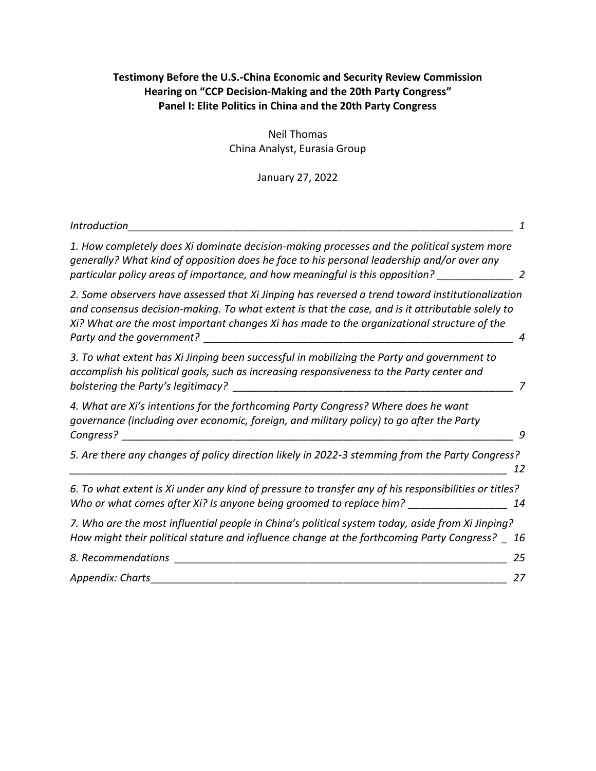# **Testimony Before the U.S.-China Economic and Security Review Commission Hearing on "CCP Decision-Making and the 20th Party Congress" Panel I: Elite Politics in China and the 20th Party Congress**

Neil Thomas China Analyst, Eurasia Group

January 27, 2022

| Introduction                                                                                                                                                                                                                                                                                                                    |
|---------------------------------------------------------------------------------------------------------------------------------------------------------------------------------------------------------------------------------------------------------------------------------------------------------------------------------|
| 1. How completely does Xi dominate decision-making processes and the political system more<br>generally? What kind of opposition does he face to his personal leadership and/or over any<br>particular policy areas of importance, and how meaningful is this opposition?                                                       |
| 2. Some observers have assessed that Xi Jinping has reversed a trend toward institutionalization<br>and consensus decision-making. To what extent is that the case, and is it attributable solely to<br>Xi? What are the most important changes Xi has made to the organizational structure of the<br>Party and the government? |
| 3. To what extent has Xi Jinping been successful in mobilizing the Party and government to<br>accomplish his political goals, such as increasing responsiveness to the Party center and<br>bolstering the Party's legitimacy?                                                                                                   |
| 4. What are Xi's intentions for the forthcoming Party Congress? Where does he want<br>governance (including over economic, foreign, and military policy) to go after the Party<br>Congress?<br>9                                                                                                                                |
| 5. Are there any changes of policy direction likely in 2022-3 stemming from the Party Congress?<br>12                                                                                                                                                                                                                           |
| 6. To what extent is Xi under any kind of pressure to transfer any of his responsibilities or titles?<br>Who or what comes after Xi? Is anyone being groomed to replace him? _____________<br>14                                                                                                                                |
| 7. Who are the most influential people in China's political system today, aside from Xi Jinping?<br>How might their political stature and influence change at the forthcoming Party Congress? _ 16                                                                                                                              |
| 8. Recommendations<br>25                                                                                                                                                                                                                                                                                                        |
| Appendix: Charts<br>27                                                                                                                                                                                                                                                                                                          |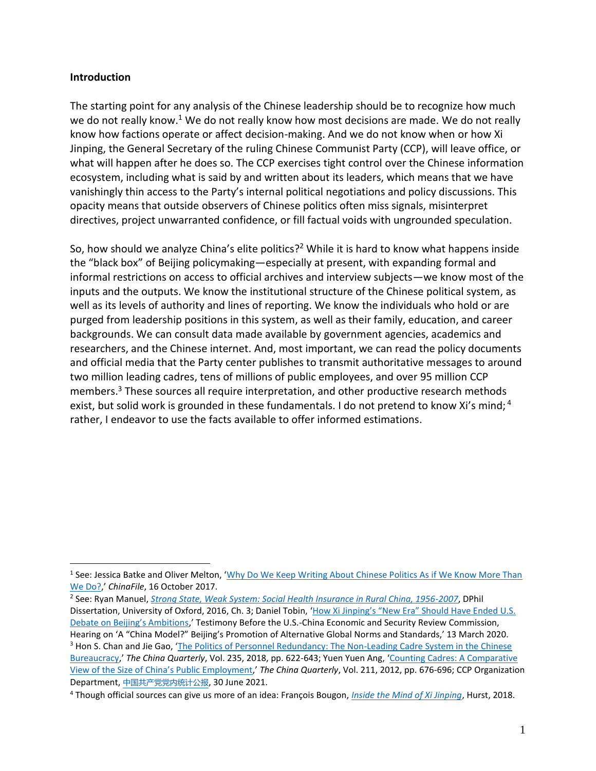#### <span id="page-1-0"></span>**Introduction**

 $\overline{a}$ 

The starting point for any analysis of the Chinese leadership should be to recognize how much we do not really know.<sup>1</sup> We do not really know how most decisions are made. We do not really know how factions operate or affect decision-making. And we do not know when or how Xi Jinping, the General Secretary of the ruling Chinese Communist Party (CCP), will leave office, or what will happen after he does so. The CCP exercises tight control over the Chinese information ecosystem, including what is said by and written about its leaders, which means that we have vanishingly thin access to the Party's internal political negotiations and policy discussions. This opacity means that outside observers of Chinese politics often miss signals, misinterpret directives, project unwarranted confidence, or fill factual voids with ungrounded speculation.

So, how should we analyze China's elite politics?<sup>2</sup> While it is hard to know what happens inside the "black box" of Beijing policymaking—especially at present, with expanding formal and informal restrictions on access to official archives and interview subjects—we know most of the inputs and the outputs. We know the institutional structure of the Chinese political system, as well as its levels of authority and lines of reporting. We know the individuals who hold or are purged from leadership positions in this system, as well as their family, education, and career backgrounds. We can consult data made available by government agencies, academics and researchers, and the Chinese internet. And, most important, we can read the policy documents and official media that the Party center publishes to transmit authoritative messages to around two million leading cadres, tens of millions of public employees, and over 95 million CCP members.<sup>3</sup> These sources all require interpretation, and other productive research methods exist, but solid work is grounded in these fundamentals. I do not pretend to know Xi's mind; <sup>4</sup> rather, I endeavor to use the facts available to offer informed estimations.

<sup>&</sup>lt;sup>1</sup> See: Jessica Batke and Oliver Melton, '<u>Why Do We Keep Writing About Chinese Politics As if We Know More Than</u> [We Do?](https://www.chinafile.com/reporting-opinion/viewpoint/why-do-we-keep-writing-about-chinese-politics-if-we-know-more-we-do),' *ChinaFile*, 16 October 2017.

<sup>2</sup> See: Ryan Manuel, *[Strong State, Weak System: Social Health Insurance in Rural China, 1956-2007](https://ora.ox.ac.uk/objects/uuid:84ec884b-9bd7-46d7-a395-f6bf9ba501e0)*, DPhil Dissertation, University of Oxford, 2016, Ch. 3; Daniel Tobin, 'How Xi Jinping's "New Era" Should Have Ended U.S. [Debate on Beijing's Ambitions,](https://www.uscc.gov/files/001300)' Testimony Before the U.S.-China Economic and Security Review Commission, Hearing on 'A "China Model?" Beijing's Promotion of Alternative Global Norms and Standards,' 13 March 2020. <sup>3</sup> Hon S. Chan and Jie Gao, 'The Politics of Personnel Redundancy: The Non-Leading Cadre System in the Chinese [Bureaucracy](https://www.cambridge.org/core/journals/china-quarterly/article/abs/politics-of-personnel-redundancy-the-nonleading-cadre-system-in-the-chinese-bureaucracy/31A922F510BAC006C48330C98BA71F78),' *The China Quarterly*, Vol. 235, 2018, pp. 622-643; Yuen Yuen Ang, '[Counting Cadres: A Comparative](https://www.cambridge.org/core/journals/china-quarterly/article/abs/counting-cadres-a-comparative-view-of-the-size-of-chinas-public-employment/0A1B32BFC26DB157D0834ED8BD6DCE01)  [View of the Size of China's Public](https://www.cambridge.org/core/journals/china-quarterly/article/abs/counting-cadres-a-comparative-view-of-the-size-of-chinas-public-employment/0A1B32BFC26DB157D0834ED8BD6DCE01) Employment,' *The China Quarterly*, Vol. 211, 2012, pp. 676-696; CCP Organization Department, [中国共产党党内统计公报](https://www.12371.cn/2021/06/30/ARTI1625021390886720.shtml), 30 June 2021.

<sup>4</sup> Though official sources can give us more of an idea: François Bougon, *[Inside the Mind of Xi Jinping](https://global.oup.com/academic/product/inside-the-mind-of-xi-jinping-9781849049849?cc=us&lang=en&)*, Hurst, 2018.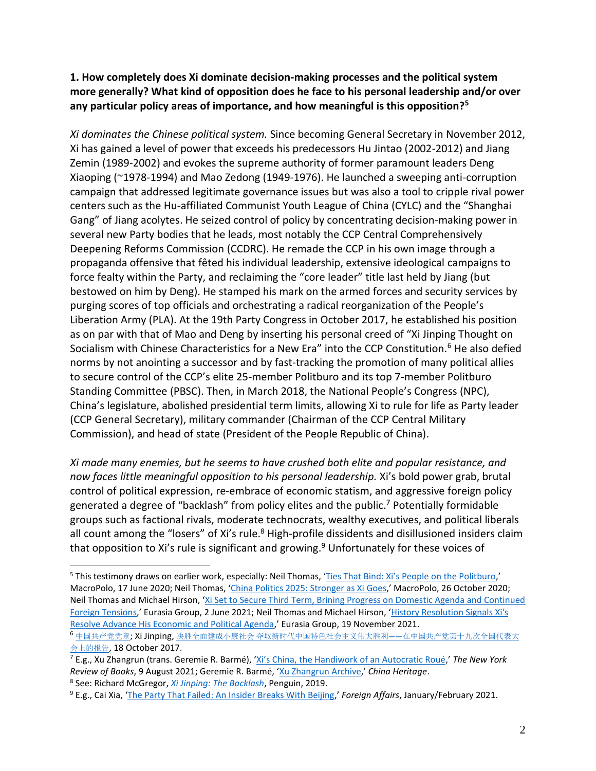## <span id="page-2-0"></span>**1. How completely does Xi dominate decision-making processes and the political system more generally? What kind of opposition does he face to his personal leadership and/or over any particular policy areas of importance, and how meaningful is this opposition?<sup>5</sup>**

*Xi dominates the Chinese political system.* Since becoming General Secretary in November 2012, Xi has gained a level of power that exceeds his predecessors Hu Jintao (2002-2012) and Jiang Zemin (1989-2002) and evokes the supreme authority of former paramount leaders Deng Xiaoping (~1978-1994) and Mao Zedong (1949-1976). He launched a sweeping anti-corruption campaign that addressed legitimate governance issues but was also a tool to cripple rival power centers such as the Hu-affiliated Communist Youth League of China (CYLC) and the "Shanghai Gang" of Jiang acolytes. He seized control of policy by concentrating decision-making power in several new Party bodies that he leads, most notably the CCP Central Comprehensively Deepening Reforms Commission (CCDRC). He remade the CCP in his own image through a propaganda offensive that fêted his individual leadership, extensive ideological campaigns to force fealty within the Party, and reclaiming the "core leader" title last held by Jiang (but bestowed on him by Deng). He stamped his mark on the armed forces and security services by purging scores of top officials and orchestrating a radical reorganization of the People's Liberation Army (PLA). At the 19th Party Congress in October 2017, he established his position as on par with that of Mao and Deng by inserting his personal creed of "Xi Jinping Thought on Socialism with Chinese Characteristics for a New Era" into the CCP Constitution.<sup>6</sup> He also defied norms by not anointing a successor and by fast-tracking the promotion of many political allies to secure control of the CCP's elite 25-member Politburo and its top 7-member Politburo Standing Committee (PBSC). Then, in March 2018, the National People's Congress (NPC), China's legislature, abolished presidential term limits, allowing Xi to rule for life as Party leader (CCP General Secretary), military commander (Chairman of the CCP Central Military Commission), and head of state (President of the People Republic of China).

*Xi made many enemies, but he seems to have crushed both elite and popular resistance, and now faces little meaningful opposition to his personal leadership.* Xi's bold power grab, brutal control of political expression, re-embrace of economic statism, and aggressive foreign policy generated a degree of "backlash" from policy elites and the public. <sup>7</sup> Potentially formidable groups such as factional rivals, moderate technocrats, wealthy executives, and political liberals all count among the "losers" of Xi's rule.<sup>8</sup> High-profile dissidents and disillusioned insiders claim that opposition to Xi's rule is significant and growing. <sup>9</sup> Unfortunately for these voices of

<sup>&</sup>lt;sup>5</sup> This testimony draws on earlier work, especially: Neil Thomas, ['Ties That Bind: Xi's People on the Politburo,](https://macropolo.org/analysis/the-ties-that-bind-xi-people-politburo/)' MacroPolo, 17 June 2020; Neil Thomas, '[China Politics 2025: Stronger as Xi Goes](https://macropolo.org/analysis/china-forecast-politics-2025-stronger-as-xi-jinping-goes/),' MacroPolo, 26 October 2020; Neil Thomas and Michael Hirson, '[Xi Set to Secure Third Term, Brining Progress on Domestic Agenda and Continued](https://library.eurasiagroup.net/document/view/wfpub_eurasia_7661_ce433704/wfpub_eurasia_7661_ce433704.html)  [Foreign Tensions](https://library.eurasiagroup.net/document/view/wfpub_eurasia_7661_ce433704/wfpub_eurasia_7661_ce433704.html),' Eurasia Group, 2 June 2021; Neil Thomas and Michael Hirson, '[History Resolution Signals Xi's](https://library.eurasiagroup.net/document/view/wfpub_eurasia_9507_446677a5/wfpub_eurasia_9507_446677a5.html)  [Resolve Advance His Economic and Political Agenda](https://library.eurasiagroup.net/document/view/wfpub_eurasia_9507_446677a5/wfpub_eurasia_9507_446677a5.html),' Eurasia Group, 19 November 2021. <sup>6</sup> [中国共产党党章](https://www.12371.cn/special/zggcdzc/zggcdzcqw/); Xi Jinping, 决胜全面建成小康社会 [夺取新时代中国特色社会主义伟大胜利](http://www.gov.cn/zhuanti/2017-10/27/content_5234876.htm)——在中国共产党第十九次全国代表大 [会上的报告](http://www.gov.cn/zhuanti/2017-10/27/content_5234876.htm), 18 October 2017.

<sup>7</sup> E.g., Xu Zhangrun (trans. Geremie R. Barmé), ['Xi's China, the Handiwork of an Autocratic Roué,](https://www.nybooks.com/daily/2021/08/09/xis-china-the-handiwork-of-an-autocratic-roue/)' *The New York Review of Books*, 9 August 2021; Geremie R. Barmé, '[Xu Zhangrun Archive](https://chinaheritage.net/xu-zhangrun-%E8%A8%B1%E7%AB%A0%E6%BD%A4/),' *China Heritage*.

<sup>8</sup> See: Richard McGregor, *[Xi Jinping: The Backlash](https://www.penguin.com.au/books/xi-jinping-a-lowy-institute-paper-penguin-special-9781760893040)*, Penguin, 2019.

<sup>9</sup> E.g., Cai Xia, '[The Party That Failed: An Insider Breaks With Beijing](https://www.foreignaffairs.com/articles/china/2020-12-04/chinese-communist-party-failed),' *Foreign Affairs*, January/February 2021.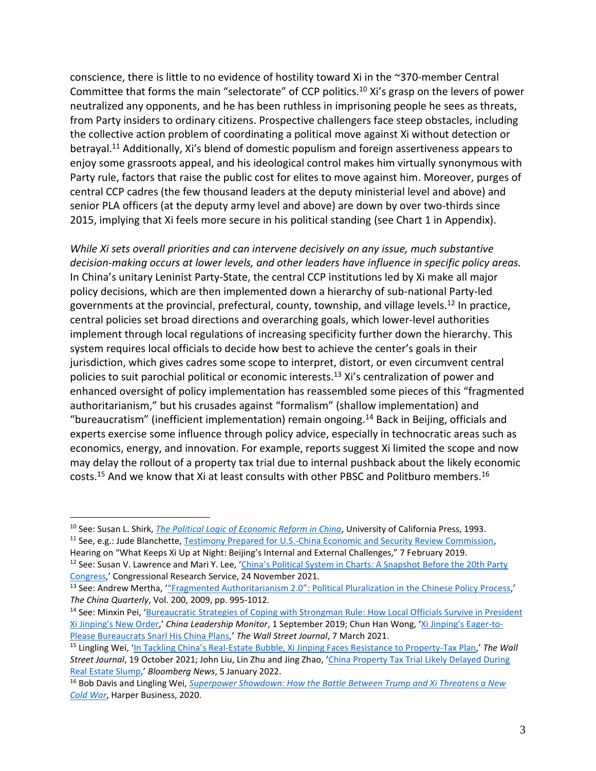conscience, there is little to no evidence of hostility toward Xi in the ~370-member Central Committee that forms the main "selectorate" of CCP politics.<sup>10</sup> Xi's grasp on the levers of power neutralized any opponents, and he has been ruthless in imprisoning people he sees as threats, from Party insiders to ordinary citizens. Prospective challengers face steep obstacles, including the collective action problem of coordinating a political move against Xi without detection or betrayal.<sup>11</sup> Additionally, Xi's blend of domestic populism and foreign assertiveness appears to enjoy some grassroots appeal, and his ideological control makes him virtually synonymous with Party rule, factors that raise the public cost for elites to move against him. Moreover, purges of central CCP cadres (the few thousand leaders at the deputy ministerial level and above) and senior PLA officers (at the deputy army level and above) are down by over two-thirds since 2015, implying that Xi feels more secure in his political standing (see Chart 1 in Appendix).

*While Xi sets overall priorities and can intervene decisively on any issue, much substantive decision-making occurs at lower levels, and other leaders have influence in specific policy areas.*  In China's unitary Leninist Party-State, the central CCP institutions led by Xi make all major policy decisions, which are then implemented down a hierarchy of sub-national Party-led governments at the provincial, prefectural, county, township, and village levels. <sup>12</sup> In practice, central policies set broad directions and overarching goals, which lower-level authorities implement through local regulations of increasing specificity further down the hierarchy. This system requires local officials to decide how best to achieve the center's goals in their jurisdiction, which gives cadres some scope to interpret, distort, or even circumvent central policies to suit parochial political or economic interests.<sup>13</sup> Xi's centralization of power and enhanced oversight of policy implementation has reassembled some pieces of this "fragmented authoritarianism," but his crusades against "formalism" (shallow implementation) and "bureaucratism" (inefficient implementation) remain ongoing.<sup>14</sup> Back in Beijing, officials and experts exercise some influence through policy advice, especially in technocratic areas such as economics, energy, and innovation. For example, reports suggest Xi limited the scope and now may delay the rollout of a property tax trial due to internal pushback about the likely economic costs.<sup>15</sup> And we know that Xi at least consults with other PBSC and Politburo members.<sup>16</sup>

<sup>10</sup> See: Susan L. Shirk, *[The Political Logic of Economic Reform in China](https://www.ucpress.edu/book/9780520077072/the-political-logic-of-economic-reform-in-china)*, University of California Press, 1993.

<sup>11</sup> See, e.g.: Jude Blanchette, [Testimony Prepared for U.S.-China Economic and Security Review Commission,](https://www.uscc.gov/sites/default/files/Blanchette_USCC%20Testimony_FINAL.pdf)  Hearing on "What Keeps Xi Up at Night: Beijing's Internal and External Challenges," 7 February 2019.

<sup>&</sup>lt;sup>12</sup> See: Susan V. Lawrence and Mari Y. Lee, 'China's Political System in Charts: A Snapshot Before the 20th Party [Congress](https://crsreports.congress.gov/product/pdf/R/R46977),' Congressional Research Service, 24 November 2021.

<sup>&</sup>lt;sup>13</sup> See: Andrew Mertha, "Fragmented Authoritarianism 2.0": Political Pluralization in the Chinese Policy Process,' *The China Quarterly*, Vol. 200, 2009, pp. 995-1012.

<sup>&</sup>lt;sup>14</sup> See: Minxin Pei, 'Bureaucratic Strategies of Coping with Strongman Rule: How Local Officials Survive in President [Xi Jinping's New Order,'](https://www.prcleader.org/pei-bureaucratic-strategies) *China Leadership Monitor*, 1 September 2019; Chun Han Wong, ['Xi Jinping's Ea](https://www.wsj.com/articles/xi-jinpings-eager-to-please-minions-snarl-his-china-plans-11615141195)ger-to-[Please Bureaucrats Snarl His China Plans](https://www.wsj.com/articles/xi-jinpings-eager-to-please-minions-snarl-his-china-plans-11615141195),' *The Wall Street Journal*, 7 March 2021.

<sup>15</sup> Lingling Wei, 'In Tackling China's Real[-Estate Bubble, Xi Jinping Faces Resistance to Property-Tax Plan](https://www.wsj.com/articles/in-tackling-chinas-real-estate-bubble-xi-jinping-faces-resistance-to-property-tax-plan-11634650751),' *The Wall Street Journal*, 19 October 2021; John Liu, Lin Zhu and Jing Zhao, '[China Property Tax Trial Likely Delayed During](https://www.bloomberg.com/news/articles/2022-01-06/china-seen-delaying-property-tax-trials-until-market-improves)  [Real Estate Slump](https://www.bloomberg.com/news/articles/2022-01-06/china-seen-delaying-property-tax-trials-until-market-improves),' *Bloomberg News*, 5 January 2022.

<sup>16</sup> Bob Davis and Lingling Wei, *[Superpower Showdown: How the Battle Between Trump and Xi Threatens a New](https://www.harpercollins.com/products/superpower-showdown-bob-davislingling-wei?variant=32127351160866)  [Cold War](https://www.harpercollins.com/products/superpower-showdown-bob-davislingling-wei?variant=32127351160866)*, Harper Business, 2020.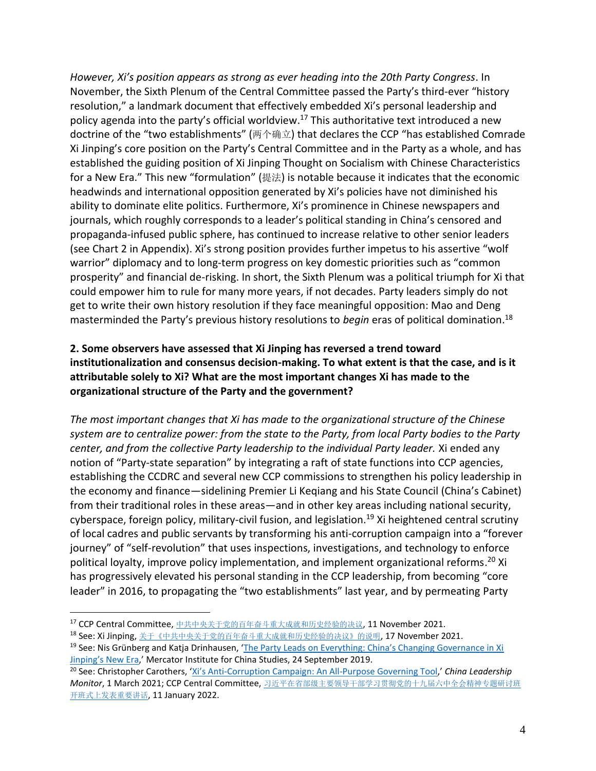*However, Xi's position appears as strong as ever heading into the 20th Party Congress*. In November, the Sixth Plenum of the Central Committee passed the Party's third-ever "history resolution," a landmark document that effectively embedded Xi's personal leadership and policy agenda into the party's official worldview.<sup>17</sup> This authoritative text introduced a new doctrine of the "two establishments" (两个确立) that declares the CCP "has established Comrade Xi Jinping's core position on the Party's Central Committee and in the Party as a whole, and has established the guiding position of Xi Jinping Thought on Socialism with Chinese Characteristics for a New Era." This new "formulation" (提法) is notable because it indicates that the economic headwinds and international opposition generated by Xi's policies have not diminished his ability to dominate elite politics. Furthermore, Xi's prominence in Chinese newspapers and journals, which roughly corresponds to a leader's political standing in China's censored and propaganda-infused public sphere, has continued to increase relative to other senior leaders (see Chart 2 in Appendix). Xi's strong position provides further impetus to his assertive "wolf warrior" diplomacy and to long-term progress on key domestic priorities such as "common prosperity" and financial de-risking. In short, the Sixth Plenum was a political triumph for Xi that could empower him to rule for many more years, if not decades. Party leaders simply do not get to write their own history resolution if they face meaningful opposition: Mao and Deng masterminded the Party's previous history resolutions to *begin* eras of political domination. 18

# <span id="page-4-0"></span>**2. Some observers have assessed that Xi Jinping has reversed a trend toward institutionalization and consensus decision-making. To what extent is that the case, and is it attributable solely to Xi? What are the most important changes Xi has made to the organizational structure of the Party and the government?**

*The most important changes that Xi has made to the organizational structure of the Chinese system are to centralize power: from the state to the Party, from local Party bodies to the Party center, and from the collective Party leadership to the individual Party leader.* Xi ended any notion of "Party-state separation" by integrating a raft of state functions into CCP agencies, establishing the CCDRC and several new CCP commissions to strengthen his policy leadership in the economy and finance—sidelining Premier Li Keqiang and his State Council (China's Cabinet) from their traditional roles in these areas—and in other key areas including national security, cyberspace, foreign policy, military-civil fusion, and legislation.<sup>19</sup> Xi heightened central scrutiny of local cadres and public servants by transforming his anti-corruption campaign into a "forever journey" of "self-revolution" that uses inspections, investigations, and technology to enforce political loyalty, improve policy implementation, and implement organizational reforms.<sup>20</sup> Xi has progressively elevated his personal standing in the CCP leadership, from becoming "core leader" in 2016, to propagating the "two establishments" last year, and by permeating Party

<sup>17</sup> CCP Central Committee, [中共中央关于党的百年奋斗重大成就和历史经验的决议](http://cpc.people.com.cn/n1/2021/1116/c64387-32284167.html), 11 November 2021.

<sup>18</sup> See: Xi Jinping, [关于《中共中央关于党的百年奋斗重大成就和历史经验的决议》的说明](http://cpc.people.com.cn/n1/2021/1201/c64094-32296476.html), 17 November 2021.

<sup>&</sup>lt;sup>19</sup> See: Nis Grünberg and Katja Drinhausen, 'The Party Leads on Everything: China's Changing Governance in Xi [Jinping's New Era,](https://merics.org/en/report/party-leads-everything)' Mercator Institute for China Studies, 24 September 2019.

<sup>20</sup> See: Christopher Carothers, 'Xi's Anti[-Corruption Campaign: An All-Purpose Governing Tool](https://www.prcleader.org/carothers),' *China Leadership Monitor*, 1 March 2021; CCP Central Committee, [习近平在省部级主要领导干部学习贯彻党的十九届六中全会精神专题研讨班](http://cpc.people.com.cn/n1/2022/0111/c64094-32329102.html) [开班式上发表重要讲话](http://cpc.people.com.cn/n1/2022/0111/c64094-32329102.html), 11 January 2022.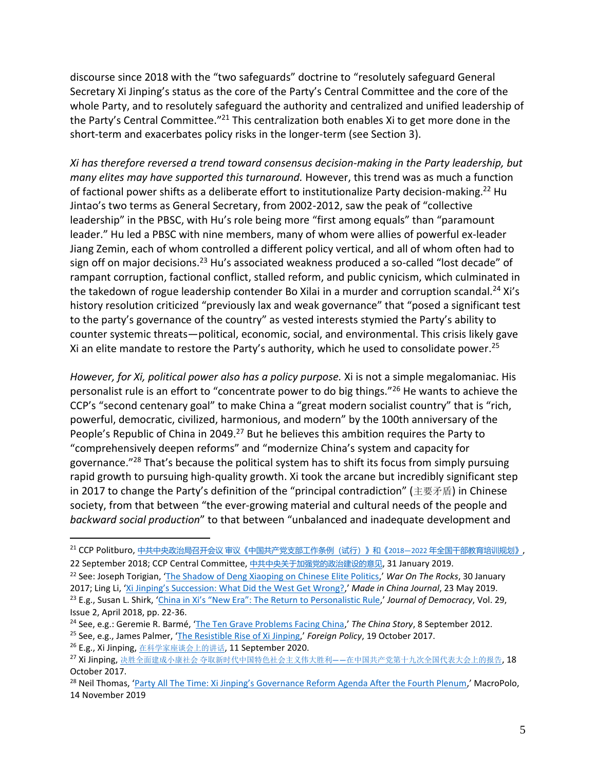discourse since 2018 with the "two safeguards" doctrine to "resolutely safeguard General Secretary Xi Jinping's status as the core of the Party's Central Committee and the core of the whole Party, and to resolutely safeguard the authority and centralized and unified leadership of the Party's Central Committee."<sup>21</sup> This centralization both enables Xi to get more done in the short-term and exacerbates policy risks in the longer-term (see Section 3).

*Xi has therefore reversed a trend toward consensus decision-making in the Party leadership, but many elites may have supported this turnaround.* However, this trend was as much a function of factional power shifts as a deliberate effort to institutionalize Party decision-making.<sup>22</sup> Hu Jintao's two terms as General Secretary, from 2002-2012, saw the peak of "collective leadership" in the PBSC, with Hu's role being more "first among equals" than "paramount leader." Hu led a PBSC with nine members, many of whom were allies of powerful ex-leader Jiang Zemin, each of whom controlled a different policy vertical, and all of whom often had to sign off on major decisions.<sup>23</sup> Hu's associated weakness produced a so-called "lost decade" of rampant corruption, factional conflict, stalled reform, and public cynicism, which culminated in the takedown of rogue leadership contender Bo Xilai in a murder and corruption scandal.<sup>24</sup> Xi's history resolution criticized "previously lax and weak governance" that "posed a significant test to the party's governance of the country" as vested interests stymied the Party's ability to counter systemic threats—political, economic, social, and environmental. This crisis likely gave Xi an elite mandate to restore the Party's authority, which he used to consolidate power.<sup>25</sup>

*However, for Xi, political power also has a policy purpose.* Xi is not a simple megalomaniac. His personalist rule is an effort to "concentrate power to do big things."<sup>26</sup> He wants to achieve the CCP's "second centenary goal" to make China a "great modern socialist country" that is "rich, powerful, democratic, civilized, harmonious, and modern" by the 100th anniversary of the People's Republic of China in 2049.<sup>27</sup> But he believes this ambition requires the Party to "comprehensively deepen reforms" and "modernize China's system and capacity for governance."<sup>28</sup> That's because the political system has to shift its focus from simply pursuing rapid growth to pursuing high-quality growth. Xi took the arcane but incredibly significant step in 2017 to change the Party's definition of the "principal contradiction" (主要矛盾) in Chinese society, from that between "the ever-growing material and cultural needs of the people and *backward social production*" to that between "unbalanced and inadequate development and

<sup>21</sup> CCP Politburo, 中共中央政治局召开会议 审议《中国共产党支部工作条例 (试行) 》和《2018-2022 年全国干部教育培训规划》, 22 September 2018; CCP Central Committee, [中共中央关于加强党的政治建设的意见](http://www.xinhuanet.com/politics/2019-02/27/c_1124171974.htm), 31 January 2019.

<sup>22</sup> See: Joseph Torigian, '[The Shadow of Deng Xiaoping on Chinese Elite Politics](https://warontherocks.com/2017/01/the-shadow-of-deng-xiaoping-on-chinese-elite-politics/),' *War On The Rocks*, 30 January 2017; Ling Li, ['Xi Jinping's Succession: What Did the West Get Wrong?,](https://madeinchinajournal.com/2019/05/23/xi-jinpings-succession-what-did-the-west-get-wrong/)' *Made in China Journal*, 23 May 2019. <sup>23</sup> E.g., Susan L. Shirk, ['China in Xi's "New Era": The Return to Personalistic Rule,](https://www.journalofdemocracy.org/articles/china-in-xis-new-era-the-return-to-personalistic-rule/)' *Journal of Democracy*, Vol. 29, Issue 2, April 2018, pp. 22-36.

<sup>24</sup> See, e.g.: Geremie R. Barmé, '[The Ten Grave Problems Facing China](https://archive.thechinastory.org/2012/09/the-ten-grave-problems-facing-china/),' *The China Story*, 8 September 2012.

<sup>25</sup> See, e.g., James Palmer, '[The Resistible Rise of Xi Jinping](https://foreignpolicy.com/2017/10/19/the-resistible-rise-of-xi-jinping/),' *Foreign Policy*, 19 October 2017.

<sup>26</sup> E.g., Xi Jinping, [在科学家座谈会上的讲话](http://www.xinhuanet.com/politics/2020-09/11/c_1126483997.htm), 11 September 2020.

<sup>&</sup>lt;sup>27</sup> Xi Jinping, 决胜全面建成小康社会 夺取新时代中国特色社会主义伟大胜利——[在中国共产党第十九次全国代表大会上的报告](http://www.gov.cn/zhuanti/2017-10/27/content_5234876.htm), 18 October 2017.

<sup>&</sup>lt;sup>28</sup> Neil Thomas, ['Party All The Time: Xi Jinping's Governance Reform Agenda After the Fourth Plenum,](https://macropolo.org/analysis/xi-jinping-ccp-china-governance-reforms-the-fourth-plenum/)' MacroPolo, 14 November 2019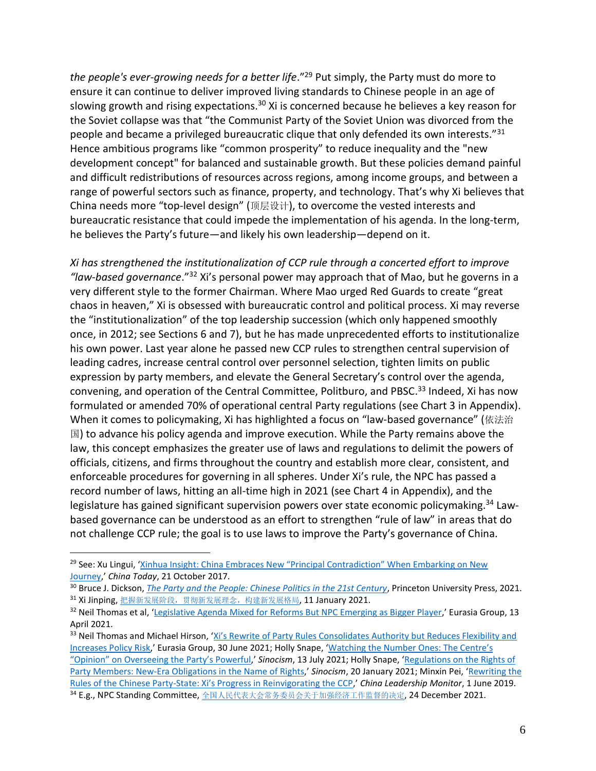*the people's ever-growing needs for a better life*."<sup>29</sup> Put simply, the Party must do more to ensure it can continue to deliver improved living standards to Chinese people in an age of slowing growth and rising expectations.<sup>30</sup> Xi is concerned because he believes a key reason for the Soviet collapse was that "the Communist Party of the Soviet Union was divorced from the people and became a privileged bureaucratic clique that only defended its own interests."<sup>31</sup> Hence ambitious programs like "common prosperity" to reduce inequality and the "new development concept" for balanced and sustainable growth. But these policies demand painful and difficult redistributions of resources across regions, among income groups, and between a range of powerful sectors such as finance, property, and technology. That's why Xi believes that China needs more "top-level design" (顶层设计), to overcome the vested interests and bureaucratic resistance that could impede the implementation of his agenda. In the long-term, he believes the Party's future—and likely his own leadership—depend on it.

*Xi has strengthened the institutionalization of CCP rule through a concerted effort to improve "law-based governance*." <sup>32</sup> Xi's personal power may approach that of Mao, but he governs in a very different style to the former Chairman. Where Mao urged Red Guards to create "great chaos in heaven," Xi is obsessed with bureaucratic control and political process. Xi may reverse the "institutionalization" of the top leadership succession (which only happened smoothly once, in 2012; see Sections 6 and 7), but he has made unprecedented efforts to institutionalize his own power. Last year alone he passed new CCP rules to strengthen central supervision of leading cadres, increase central control over personnel selection, tighten limits on public expression by party members, and elevate the General Secretary's control over the agenda, convening, and operation of the Central Committee, Politburo, and PBSC.<sup>33</sup> Indeed, Xi has now formulated or amended 70% of operational central Party regulations (see Chart 3 in Appendix). When it comes to policymaking, Xi has highlighted a focus on "law-based governance" (依法治 国) to advance his policy agenda and improve execution. While the Party remains above the law, this concept emphasizes the greater use of laws and regulations to delimit the powers of officials, citizens, and firms throughout the country and establish more clear, consistent, and enforceable procedures for governing in all spheres. Under Xi's rule, the NPC has passed a record number of laws, hitting an all-time high in 2021 (see Chart 4 in Appendix), and the legislature has gained significant supervision powers over state economic policymaking.<sup>34</sup> Lawbased governance can be understood as an effort to strengthen "rule of law" in areas that do not challenge CCP rule; the goal is to use laws to improve the Party's governance of China.

<sup>&</sup>lt;sup>29</sup> See: Xu Lingui, 'Xinhua Insight: China Embraces New "Principal Contradiction" When Embarking on New [Journey](http://www.chinatoday.com.cn/english/spc/2017-10/21/content_749120.htm),' *China Today*, 21 October 2017.

<sup>&</sup>lt;sup>30</sup> Bruce J. Dickson, *[The Party and the People: Chinese Politics in the 21st Century](https://press.princeton.edu/books/hardcover/9780691186641/the-party-and-the-people)*, Princeton University Press, 2021. <sup>31</sup> Xi Jinping, 把握新发展阶段, 贯彻新发展理念, 构建新发展格局, 11 January 2021.

 $32$  Neil Thomas et al, '[Legislative Agenda Mixed for Reforms But NPC Emerging as Bigger Player](https://library.eurasiagroup.net/document/view/wfpub_eurasia_7105_06b23e72/wfpub_eurasia_7105_06b23e72.html),' Eurasia Group, 13 April 2021.

<sup>33</sup> Neil Thomas and Michael Hirson, 'Xi's Rewrite of Party Rules Consolidates Authority but Reduces Flexibility and [Increases Policy Risk](https://library.eurasiagroup.net/document/view/wfpub_eurasia_7987_398c3731/wfpub_eurasia_7987_398c3731.html),' Eurasia Group, 30 June 2021; Holly Snape, '[Watching the Number](https://sinocism.com/p/watching-the-number-ones-the-centres) Ones: The Centre's ["Opinion" on Overseeing the Party's Powerful,](https://sinocism.com/p/watching-the-number-ones-the-centres)' *Sinocism*, 13 July 2021; Holly Snape, '[Regulations on the Rights of](https://sinocism.com/p/analysis-of-the-revised-regulations)  [Party Members: New-Era Obligations in the Name of Rights](https://sinocism.com/p/analysis-of-the-revised-regulations),' *Sinocism*, 20 January 2021; Minxin Pei, '[Rewriting the](https://www.prcleader.org/peiclm60)  Rules of the Chinese Party-[State: Xi's Progress in Reinvigorating the CCP,](https://www.prcleader.org/peiclm60)' *China Leadership Monitor*, 1 June 2019. 34 E.g., NPC Standing Committee, [全国人民代表大会常务委员会关于加强经济工作监督的决定](http://www.npc.gov.cn/npc/c30834/202112/91235fc015a7427abbc7e03a7f7a5518.shtml), 24 December 2021.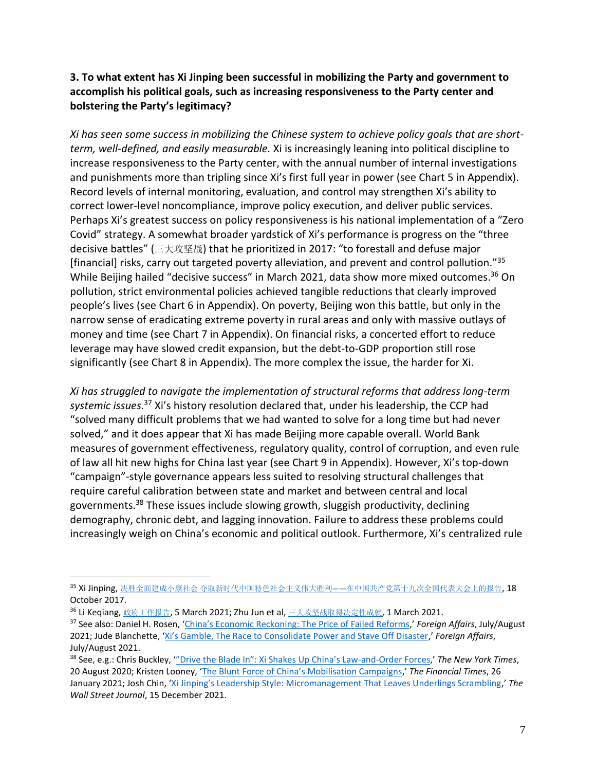## <span id="page-7-0"></span>**3. To what extent has Xi Jinping been successful in mobilizing the Party and government to accomplish his political goals, such as increasing responsiveness to the Party center and bolstering the Party's legitimacy?**

*Xi has seen some success in mobilizing the Chinese system to achieve policy goals that are shortterm, well-defined, and easily measurable.* Xi is increasingly leaning into political discipline to increase responsiveness to the Party center, with the annual number of internal investigations and punishments more than tripling since Xi's first full year in power (see Chart 5 in Appendix). Record levels of internal monitoring, evaluation, and control may strengthen Xi's ability to correct lower-level noncompliance, improve policy execution, and deliver public services. Perhaps Xi's greatest success on policy responsiveness is his national implementation of a "Zero Covid" strategy. A somewhat broader yardstick of Xi's performance is progress on the "three decisive battles" (三大攻坚战) that he prioritized in 2017: "to forestall and defuse major [financial] risks, carry out targeted poverty alleviation, and prevent and control pollution."<sup>35</sup> While Beijing hailed "decisive success" in March 2021, data show more mixed outcomes.<sup>36</sup> On pollution, strict environmental policies achieved tangible reductions that clearly improved people's lives (see Chart 6 in Appendix). On poverty, Beijing won this battle, but only in the narrow sense of eradicating extreme poverty in rural areas and only with massive outlays of money and time (see Chart 7 in Appendix). On financial risks, a concerted effort to reduce leverage may have slowed credit expansion, but the debt-to-GDP proportion still rose significantly (see Chart 8 in Appendix). The more complex the issue, the harder for Xi.

*Xi has struggled to navigate the implementation of structural reforms that address long-term systemic issues.* <sup>37</sup> Xi's history resolution declared that, under his leadership, the CCP had "solved many difficult problems that we had wanted to solve for a long time but had never solved," and it does appear that Xi has made Beijing more capable overall. World Bank measures of government effectiveness, regulatory quality, control of corruption, and even rule of law all hit new highs for China last year (see Chart 9 in Appendix). However, Xi's top-down "campaign"-style governance appears less suited to resolving structural challenges that require careful calibration between state and market and between central and local governments.<sup>38</sup> These issues include slowing growth, sluggish productivity, declining demography, chronic debt, and lagging innovation. Failure to address these problems could increasingly weigh on China's economic and political outlook. Furthermore, Xi's centralized rule

<sup>35</sup> Xi Jinping,决胜全面建成小康社会 夺取新时代中国特色社会主义伟大胜利——[在中国共产党第十九次全国代表大会上的报告](http://www.gov.cn/zhuanti/2017-10/27/content_5234876.htm), 18 October 2017.

<sup>&</sup>lt;sup>36</sup> Li Keqiang, [政府工作报告](http://www.xinhuanet.com/politics/2021-03/12/c_1127205339.htm), 5 March 2021; Zhu Jun et al, [三大攻坚战取得决定性成就](http://www.gov.cn/xinwen/2021-03/01/content_5589410.htm), 1 March 2021.

<sup>37</sup> See also: Daniel H. Rosen, ['China's Economic Reckoning: The Price of Failed Reforms,](https://www.foreignaffairs.com/articles/china/2021-06-22/chinas-economic-reckoning)' *Foreign Affairs*, July/August 2021; Jude Blanchette, ['Xi's Gamble, The Race to Consolidate Power and Stave Off Disaster,](https://www.foreignaffairs.com/articles/china/2021-06-22/xis-gamble)' *Foreign Affairs*, July/August 2021.

<sup>38</sup> See, e.g.: Chris Buckley, ['"Drive the Blade In": Xi Shakes Up China's Law](https://www.nytimes.com/2020/08/20/world/asia/china-xi-jinping-communist-party.html)-and-Order Forces,' *The New York Times*, 20 August 2020; Kristen Looney, ['The Blunt Force of China's Mobilisation Campaigns,'](https://www.ft.com/content/3223deec-2cb6-45a5-9119-8495728566b5) *The Financial Times*, 26 January 2021; Josh Chin, ['Xi Jinping's Leadership Style: Micromanagement That Leaves Underlings Scrambling,'](https://www.wsj.com/articles/xi-jinpings-leadership-style-micromanagement-that-leaves-underlings-scrambling-11639582426) *The Wall Street Journal*, 15 December 2021.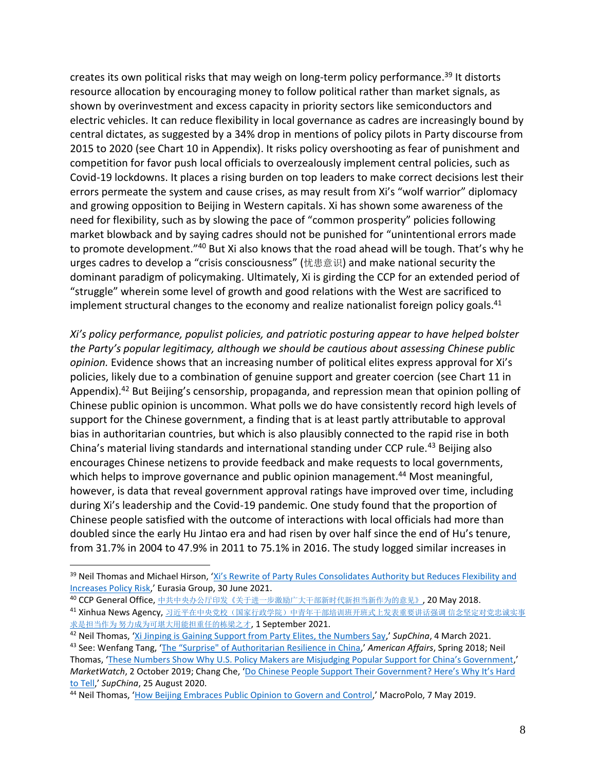creates its own political risks that may weigh on long-term policy performance.<sup>39</sup> It distorts resource allocation by encouraging money to follow political rather than market signals, as shown by overinvestment and excess capacity in priority sectors like semiconductors and electric vehicles. It can reduce flexibility in local governance as cadres are increasingly bound by central dictates, as suggested by a 34% drop in mentions of policy pilots in Party discourse from 2015 to 2020 (see Chart 10 in Appendix). It risks policy overshooting as fear of punishment and competition for favor push local officials to overzealously implement central policies, such as Covid-19 lockdowns. It places a rising burden on top leaders to make correct decisions lest their errors permeate the system and cause crises, as may result from Xi's "wolf warrior" diplomacy and growing opposition to Beijing in Western capitals. Xi has shown some awareness of the need for flexibility, such as by slowing the pace of "common prosperity" policies following market blowback and by saying cadres should not be punished for "unintentional errors made to promote development."<sup>40</sup> But Xi also knows that the road ahead will be tough. That's why he urges cadres to develop a "crisis consciousness" (忧患意识) and make national security the dominant paradigm of policymaking. Ultimately, Xi is girding the CCP for an extended period of "struggle" wherein some level of growth and good relations with the West are sacrificed to implement structural changes to the economy and realize nationalist foreign policy goals.<sup>41</sup>

*Xi's policy performance, populist policies, and patriotic posturing appear to have helped bolster the Party's popular legitimacy, although we should be cautious about assessing Chinese public opinion.* Evidence shows that an increasing number of political elites express approval for Xi's policies, likely due to a combination of genuine support and greater coercion (see Chart 11 in Appendix).<sup>42</sup> But Beijing's censorship, propaganda, and repression mean that opinion polling of Chinese public opinion is uncommon. What polls we do have consistently record high levels of support for the Chinese government, a finding that is at least partly attributable to approval bias in authoritarian countries, but which is also plausibly connected to the rapid rise in both China's material living standards and international standing under CCP rule.<sup>43</sup> Beijing also encourages Chinese netizens to provide feedback and make requests to local governments, which helps to improve governance and public opinion management.<sup>44</sup> Most meaningful, however, is data that reveal government approval ratings have improved over time, including during Xi's leadership and the Covid-19 pandemic. One study found that the proportion of Chinese people satisfied with the outcome of interactions with local officials had more than doubled since the early Hu Jintao era and had risen by over half since the end of Hu's tenure, from 31.7% in 2004 to 47.9% in 2011 to 75.1% in 2016. The study logged similar increases in

<sup>40</sup> CCP General Office, [中共中央办公厅印发《关于进一步激励广大干部新时代新担当新作为的意见》](http://www.xinhuanet.com/politics/2018-05/20/c_1122859959.htm), 20 May 2018.

<sup>&</sup>lt;sup>39</sup> Neil Thomas and Michael Hirson, 'Xi's Rewrite of Party Rules Consolidates Authority but Reduces Flexibility and [Increases Policy Risk](https://library.eurasiagroup.net/document/view/wfpub_eurasia_7987_398c3731/wfpub_eurasia_7987_398c3731.html),' Eurasia Group, 30 June 2021.

<sup>&</sup>lt;sup>41</sup> Xinhua News Agency, [习近平在中央党校\(国家行政学院\)中青年干部培训班开班式上发表重要讲话强调](http://cpc.people.com.cn/n1/2021/0901/c64094-32214888.html) 信念坚定对党忠诚实事 求是担当作为 [努力成为可堪大用能担重任的栋梁之才](http://cpc.people.com.cn/n1/2021/0901/c64094-32214888.html), 1 September 2021.

<sup>42</sup> Neil Thomas, '[Xi Jinping is Gaining Support from Party Elites, the Numbers Say](https://supchina.com/2021/03/04/xi-jinping-is-gaining-support-from-party-elites-the-numbers-say/),' *SupChina*, 4 March 2021. <sup>43</sup> See: Wenfang Tang, ['The "Surprise" of Authoritarian Resilience in China,](https://americanaffairsjournal.org/2018/02/surprise-authoritarian-resilience-china/)' *American Affairs*, Spring 2018; Neil

Thomas, '[These Numbers Show Why U.S. Policy Makers are Misjudging Popular Suppor](https://www.marketwatch.com/story/these-numbers-show-just-how-much-the-lives-of-everyday-chinese-have-improved-in-recent-decades-2019-10-02)t for China's Government,' *MarketWatch*, 2 October 2019; Chang Che, ['Do Chinese People Support Their Government? Here's Why It's Hard](https://supchina.com/2020/08/25/do-chinese-people-support-their-government-hard-to-tell/)  [to Tell](https://supchina.com/2020/08/25/do-chinese-people-support-their-government-hard-to-tell/),' *SupChina*, 25 August 2020.

<sup>44</sup> Neil Thomas, '[How Beijing Embraces Public Opinion to Govern and Control](https://macropolo.org/china-public-opinion-authoritarian-resilience/?rp=m),' MacroPolo, 7 May 2019.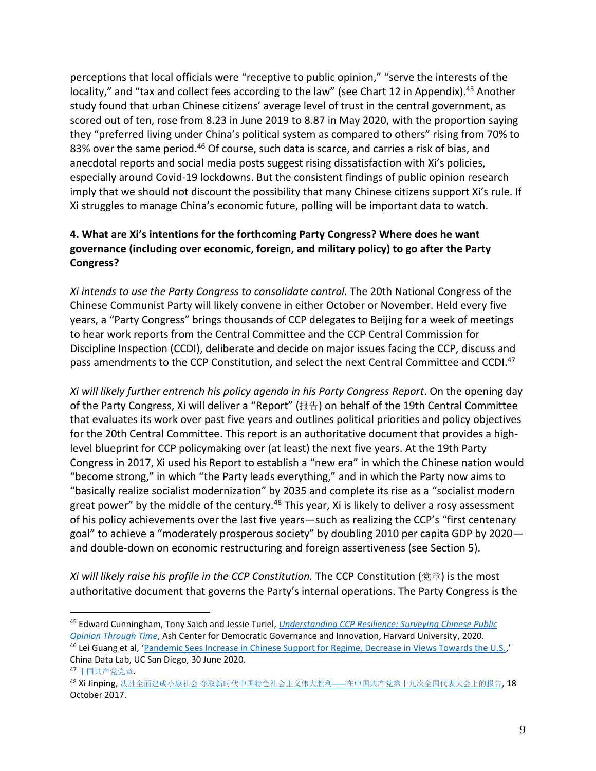perceptions that local officials were "receptive to public opinion," "serve the interests of the locality," and "tax and collect fees according to the law" (see Chart 12 in Appendix).<sup>45</sup> Another study found that urban Chinese citizens' average level of trust in the central government, as scored out of ten, rose from 8.23 in June 2019 to 8.87 in May 2020, with the proportion saying they "preferred living under China's political system as compared to others" rising from 70% to 83% over the same period.<sup>46</sup> Of course, such data is scarce, and carries a risk of bias, and anecdotal reports and social media posts suggest rising dissatisfaction with Xi's policies, especially around Covid-19 lockdowns. But the consistent findings of public opinion research imply that we should not discount the possibility that many Chinese citizens support Xi's rule. If Xi struggles to manage China's economic future, polling will be important data to watch.

# <span id="page-9-0"></span>**4. What are Xi's intentions for the forthcoming Party Congress? Where does he want governance (including over economic, foreign, and military policy) to go after the Party Congress?**

*Xi intends to use the Party Congress to consolidate control.* The 20th National Congress of the Chinese Communist Party will likely convene in either October or November. Held every five years, a "Party Congress" brings thousands of CCP delegates to Beijing for a week of meetings to hear work reports from the Central Committee and the CCP Central Commission for Discipline Inspection (CCDI), deliberate and decide on major issues facing the CCP, discuss and pass amendments to the CCP Constitution, and select the next Central Committee and CCDI.<sup>47</sup>

*Xi will likely further entrench his policy agenda in his Party Congress Report*. On the opening day of the Party Congress, Xi will deliver a "Report" (报告) on behalf of the 19th Central Committee that evaluates its work over past five years and outlines political priorities and policy objectives for the 20th Central Committee. This report is an authoritative document that provides a highlevel blueprint for CCP policymaking over (at least) the next five years. At the 19th Party Congress in 2017, Xi used his Report to establish a "new era" in which the Chinese nation would "become strong," in which "the Party leads everything," and in which the Party now aims to "basically realize socialist modernization" by 2035 and complete its rise as a "socialist modern great power" by the middle of the century.<sup>48</sup> This year, Xi is likely to deliver a rosy assessment of his policy achievements over the last five years—such as realizing the CCP's "first centenary goal" to achieve a "moderately prosperous society" by doubling 2010 per capita GDP by 2020 and double-down on economic restructuring and foreign assertiveness (see Section 5).

*Xi will likely raise his profile in the CCP Constitution.* The CCP Constitution (党章) is the most authoritative document that governs the Party's internal operations. The Party Congress is the

<sup>45</sup> Edward Cunningham, Tony Saich and Jessie Turiel, *[Understanding CCP Resilience: Surveying Chinese Public](https://ash.harvard.edu/publications/understanding-ccp-resilience-surveying-chinese-public-opinion-through-time)  [Opinion Through Time](https://ash.harvard.edu/publications/understanding-ccp-resilience-surveying-chinese-public-opinion-through-time)*, Ash Center for Democratic Governance and Innovation, Harvard University, 2020. <sup>46</sup> Lei Guang et al, '[Pandemic Sees Increase in Chinese Support for Regime, Decrease in Views Towards the U.S.](http://web.archive.org/web/20211119025033/https:/chinadatalab.ucsd.edu/viz-blog/pandemic-sees-increase-in-chinese-support-for-regime-decrease-in-views-towards-us/),'

China Data Lab, UC San Diego, 30 June 2020. <sup>47</sup> [中国共产党党章](https://www.12371.cn/special/zggcdzc/zggcdzcqw/).

<sup>48</sup> Xi Jinping, 决胜全面建成小康社会 夺取新时代中国特色社会主义伟大胜利——[在中国共产党第十九次全国代表大会上的报告](http://www.gov.cn/zhuanti/2017-10/27/content_5234876.htm), 18 October 2017.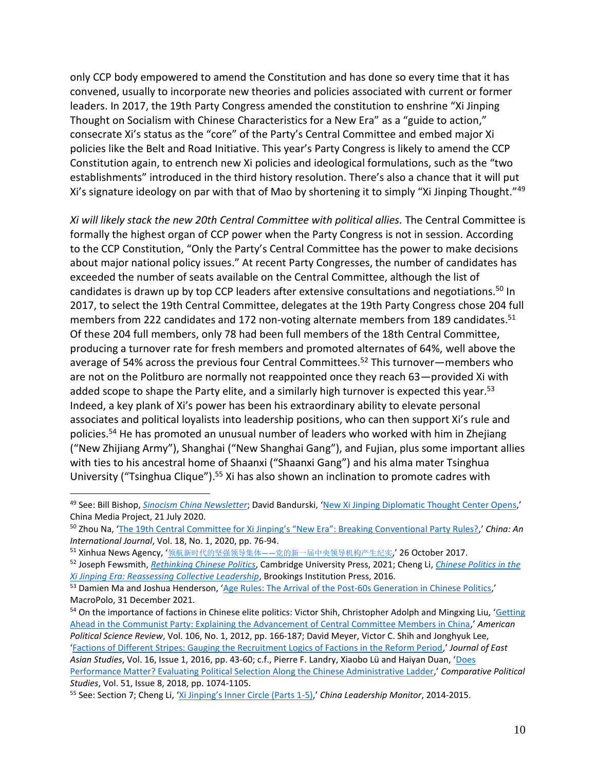only CCP body empowered to amend the Constitution and has done so every time that it has convened, usually to incorporate new theories and policies associated with current or former leaders. In 2017, the 19th Party Congress amended the constitution to enshrine "Xi Jinping Thought on Socialism with Chinese Characteristics for a New Era" as a "guide to action," consecrate Xi's status as the "core" of the Party's Central Committee and embed major Xi policies like the Belt and Road Initiative. This year's Party Congress is likely to amend the CCP Constitution again, to entrench new Xi policies and ideological formulations, such as the "two establishments" introduced in the third history resolution. There's also a chance that it will put Xi's signature ideology on par with that of Mao by shortening it to simply "Xi Jinping Thought."<sup>49</sup>

*Xi will likely stack the new 20th Central Committee with political allies.* The Central Committee is formally the highest organ of CCP power when the Party Congress is not in session. According to the CCP Constitution, "Only the Party's Central Committee has the power to make decisions about major national policy issues." At recent Party Congresses, the number of candidates has exceeded the number of seats available on the Central Committee, although the list of candidates is drawn up by top CCP leaders after extensive consultations and negotiations.<sup>50</sup> In 2017, to select the 19th Central Committee, delegates at the 19th Party Congress chose 204 full members from 222 candidates and 172 non-voting alternate members from 189 candidates.<sup>51</sup> Of these 204 full members, only 78 had been full members of the 18th Central Committee, producing a turnover rate for fresh members and promoted alternates of 64%, well above the average of 54% across the previous four Central Committees.<sup>52</sup> This turnover—members who are not on the Politburo are normally not reappointed once they reach 63—provided Xi with added scope to shape the Party elite, and a similarly high turnover is expected this year.<sup>53</sup> Indeed, a key plank of Xi's power has been his extraordinary ability to elevate personal associates and political loyalists into leadership positions, who can then support Xi's rule and policies. <sup>54</sup> He has promoted an unusual number of leaders who worked with him in Zhejiang ("New Zhijiang Army"), Shanghai ("New Shanghai Gang"), and Fujian, plus some important allies with ties to his ancestral home of Shaanxi ("Shaanxi Gang") and his alma mater Tsinghua University ("Tsinghua Clique").<sup>55</sup> Xi has also shown an inclination to promote cadres with

<sup>49</sup> See: Bill Bishop, *[Sinocism China Newsletter](https://sinocism.com/)*; David Bandurski, '[New Xi Jinping Diplomatic Thought Center Opens](https://chinamediaproject.org/2020/07/21/center-opens-for-xi-jinping-thought-on-foreign-policy/),' China Media Project, 21 July 2020.

<sup>50</sup> Zhou Na, ['The 19th Central Committee for Xi Jinping's "New Era": Breaking Conventional Party Rules?,](https://muse.jhu.edu/article/751184/pdf)' *China: An International Journal*, Vol. 18, No. 1, 2020, pp. 76-94.

<sup>51</sup> Xinhua News Agency, '领航新时代的坚强领导集体——[党的新一届中央领导机构产生纪实](http://www.xinhuanet.com/politics/19cpcnc/2017-10/26/c_1121860147.htm),' 26 October 2017.

<sup>52</sup> Joseph Fewsmith, *[Rethinking Chinese Politics](https://www.cambridge.org/core/books/rethinking-chinese-politics/D7623CCAA7ADEE7A03453F69C9154BA4)*, Cambridge University Press, 2021; Cheng Li, *[Chinese Politics in the](https://www.brookings.edu/book/chinese-politics-in-the-xi-jinping-era/)  [Xi Jinping Era: Reassessing Collective Leadership](https://www.brookings.edu/book/chinese-politics-in-the-xi-jinping-era/)*, Brookings Institution Press, 2016.

<sup>53</sup> Damien Ma and Joshua Henderson, '[Age Rules: The Arrival of the Post-60s Generation in Chinese Politics](https://macropolo.org/analysis/post-60s-generation-chinese-politics/),' MacroPolo, 31 December 2021.

<sup>&</sup>lt;sup>54</sup> On the importance of factions in Chinese elite politics: Victor Shih, Christopher Adolph and Mingxing Liu, 'Getting [Ahead in the Communist Party: Explaining the Advancement of Central Committee Members in China](https://www.cambridge.org/core/journals/american-political-science-review/article/abs/getting-ahead-in-the-communist-party-explaining-the-advancement-of-central-committee-members-in-china/B22B6ACD187AD664CCCD6497E6A165BE),' *American Political Science Review*, Vol. 106, No. 1, 2012, pp. 166-187; David Meyer, Victor C. Shih and Jonghyuk Lee, '[Factions of Different Stripes: Gauging the Recruitment Logics of Factions in the Reform Period](https://www.cambridge.org/core/journals/journal-of-east-asian-studies/article/factions-of-different-stripes-gauging-the-recruitment-logics-of-factions-in-the-reform-period/E7001645C22A4F8A472A17F5470E8A30),' *Journal of East* 

*Asian Studies*, Vol. 16, Issue 1, 2016, pp. 43-60; c.f., Pierre F. Landry, Xiaobo Lü and Haiyan Duan, '[Does](https://journals.sagepub.com/doi/abs/10.1177/0010414017730078)  [Performance Matter? Evaluating Political Selection Along the Chinese Administrative Ladder](https://journals.sagepub.com/doi/abs/10.1177/0010414017730078),' *Comparative Political Studies*, Vol. 51, Issue 8, 2018, pp. 1074-1105.

<sup>55</sup> See: Section 7; Cheng Li, ['Xi Jinping's Inner Circle \(Parts 1](https://www.hoover.org/profiles/cheng-li)-5),' *China Leadership Monitor*, 2014-2015.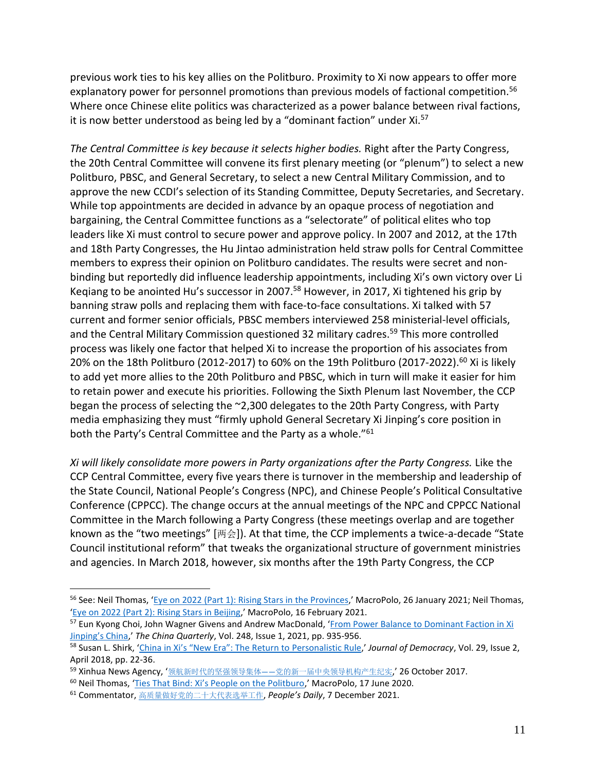previous work ties to his key allies on the Politburo. Proximity to Xi now appears to offer more explanatory power for personnel promotions than previous models of factional competition.<sup>56</sup> Where once Chinese elite politics was characterized as a power balance between rival factions, it is now better understood as being led by a "dominant faction" under Xi.<sup>57</sup>

*The Central Committee is key because it selects higher bodies.* Right after the Party Congress, the 20th Central Committee will convene its first plenary meeting (or "plenum") to select a new Politburo, PBSC, and General Secretary, to select a new Central Military Commission, and to approve the new CCDI's selection of its Standing Committee, Deputy Secretaries, and Secretary. While top appointments are decided in advance by an opaque process of negotiation and bargaining, the Central Committee functions as a "selectorate" of political elites who top leaders like Xi must control to secure power and approve policy. In 2007 and 2012, at the 17th and 18th Party Congresses, the Hu Jintao administration held straw polls for Central Committee members to express their opinion on Politburo candidates. The results were secret and nonbinding but reportedly did influence leadership appointments, including Xi's own victory over Li Keqiang to be anointed Hu's successor in 2007.<sup>58</sup> However, in 2017, Xi tightened his grip by banning straw polls and replacing them with face-to-face consultations. Xi talked with 57 current and former senior officials, PBSC members interviewed 258 ministerial-level officials, and the Central Military Commission questioned 32 military cadres.<sup>59</sup> This more controlled process was likely one factor that helped Xi to increase the proportion of his associates from 20% on the 18th Politburo (2012-2017) to 60% on the 19th Politburo (2017-2022).<sup>60</sup> Xi is likely to add yet more allies to the 20th Politburo and PBSC, which in turn will make it easier for him to retain power and execute his priorities. Following the Sixth Plenum last November, the CCP began the process of selecting the ~2,300 delegates to the 20th Party Congress, with Party media emphasizing they must "firmly uphold General Secretary Xi Jinping's core position in both the Party's Central Committee and the Party as a whole."<sup>61</sup>

*Xi will likely consolidate more powers in Party organizations after the Party Congress.* Like the CCP Central Committee, every five years there is turnover in the membership and leadership of the State Council, National People's Congress (NPC), and Chinese People's Political Consultative Conference (CPPCC). The change occurs at the annual meetings of the NPC and CPPCC National Committee in the March following a Party Congress (these meetings overlap and are together known as the "two meetings" [两会]). At that time, the CCP implements a twice-a-decade "State Council institutional reform" that tweaks the organizational structure of government ministries and agencies. In March 2018, however, six months after the 19th Party Congress, the CCP

<sup>&</sup>lt;sup>56</sup> See: Neil Thomas, '[Eye on 2022 \(Part 1\): Rising Stars in the Provinces](https://macropolo.org/chinese-politics-rising-stars-provincial/?rp=e),' MacroPolo, 26 January 2021; Neil Thomas, '[Eye on 2022 \(Part 2\): Rising Stars in Beijing](https://macropolo.org/ccp-rising-stars-beijing/),' MacroPolo, 16 February 2021.

<sup>&</sup>lt;sup>57</sup> Eun Kyong Choi, John Wagner Givens and Andrew MacDonald, 'From Power Balance to Dominant Faction in Xi Jinpi[ng's China,](https://www.cambridge.org/core/journals/china-quarterly/article/abs/from-power-balance-to-dominant-faction-in-xi-jinpings-china/C311C96EB52F5186599E67112E5CB821)' *The China Quarterly*, Vol. 248, Issue 1, 2021, pp. 935-956.

<sup>58</sup> Susan L. Shirk, ['China in Xi's "New Era": The Return to](https://www.journalofdemocracy.org/articles/china-in-xis-new-era-the-return-to-personalistic-rule/) Personalistic Rule,' *Journal of Democracy*, Vol. 29, Issue 2, April 2018, pp. 22-36.

<sup>59</sup> Xinhua News Agency, '领航新时代的坚强领导集体——[党的新一届中央领导机构产生纪实](http://www.xinhuanet.com/politics/19cpcnc/2017-10/26/c_1121860147.htm),' 26 October 2017.

<sup>60</sup> Neil Thomas, ['Ties That Bind: Xi's People on the Politburo,](https://macropolo.org/analysis/the-ties-that-bind-xi-people-politburo/)' MacroPolo, 17 June 2020.

<sup>61</sup> Commentator, [高质量做好党的二十大代表选举工作](http://paper.people.com.cn/rmrb/html/2021-12/07/nw.D110000renmrb_20211207_4-01.htm), *People's Daily*, 7 December 2021.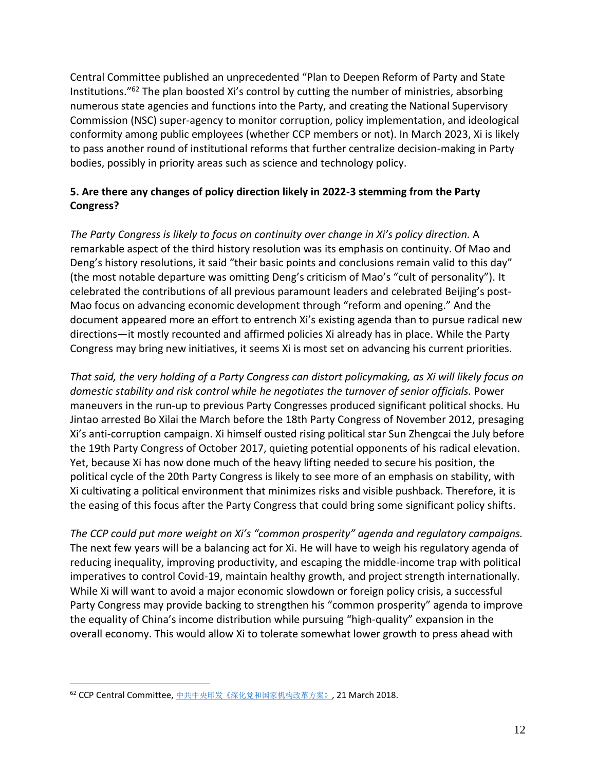Central Committee published an unprecedented "Plan to Deepen Reform of Party and State Institutions."<sup>62</sup> The plan boosted Xi's control by cutting the number of ministries, absorbing numerous state agencies and functions into the Party, and creating the National Supervisory Commission (NSC) super-agency to monitor corruption, policy implementation, and ideological conformity among public employees (whether CCP members or not). In March 2023, Xi is likely to pass another round of institutional reforms that further centralize decision-making in Party bodies, possibly in priority areas such as science and technology policy.

# <span id="page-12-0"></span>**5. Are there any changes of policy direction likely in 2022-3 stemming from the Party Congress?**

*The Party Congress is likely to focus on continuity over change in Xi's policy direction.* A remarkable aspect of the third history resolution was its emphasis on continuity. Of Mao and Deng's history resolutions, it said "their basic points and conclusions remain valid to this day" (the most notable departure was omitting Deng's criticism of Mao's "cult of personality"). It celebrated the contributions of all previous paramount leaders and celebrated Beijing's post-Mao focus on advancing economic development through "reform and opening." And the document appeared more an effort to entrench Xi's existing agenda than to pursue radical new directions—it mostly recounted and affirmed policies Xi already has in place. While the Party Congress may bring new initiatives, it seems Xi is most set on advancing his current priorities.

*That said, the very holding of a Party Congress can distort policymaking, as Xi will likely focus on domestic stability and risk control while he negotiates the turnover of senior officials.* Power maneuvers in the run-up to previous Party Congresses produced significant political shocks. Hu Jintao arrested Bo Xilai the March before the 18th Party Congress of November 2012, presaging Xi's anti-corruption campaign. Xi himself ousted rising political star Sun Zhengcai the July before the 19th Party Congress of October 2017, quieting potential opponents of his radical elevation. Yet, because Xi has now done much of the heavy lifting needed to secure his position, the political cycle of the 20th Party Congress is likely to see more of an emphasis on stability, with Xi cultivating a political environment that minimizes risks and visible pushback. Therefore, it is the easing of this focus after the Party Congress that could bring some significant policy shifts.

*The CCP could put more weight on Xi's "common prosperity" agenda and regulatory campaigns.*  The next few years will be a balancing act for Xi. He will have to weigh his regulatory agenda of reducing inequality, improving productivity, and escaping the middle-income trap with political imperatives to control Covid-19, maintain healthy growth, and project strength internationally. While Xi will want to avoid a major economic slowdown or foreign policy crisis, a successful Party Congress may provide backing to strengthen his "common prosperity" agenda to improve the equality of China's income distribution while pursuing "high-quality" expansion in the overall economy. This would allow Xi to tolerate somewhat lower growth to press ahead with

<sup>62</sup> CCP Central Committee, [中共中央印发《深化党和国家机构改革方案》](http://www.gov.cn/zhengce/2018-03/21/content_5276191.htm#allContent), 21 March 2018.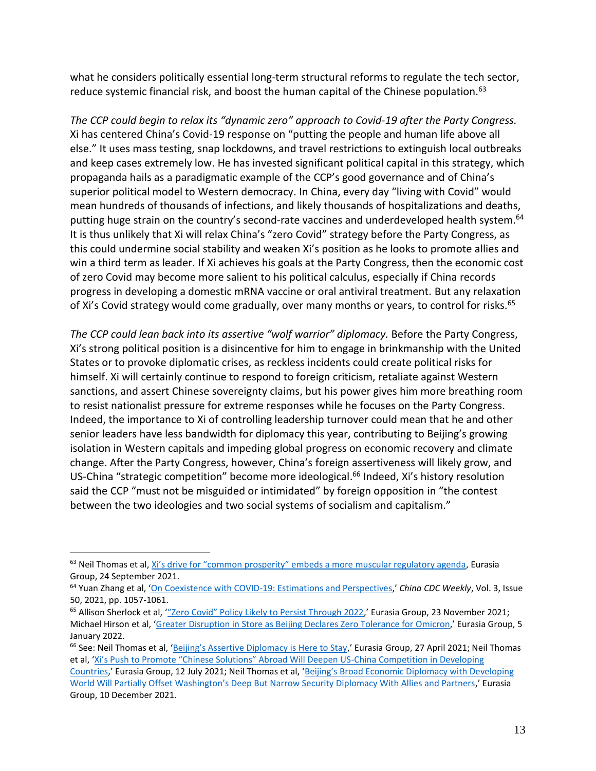what he considers politically essential long-term structural reforms to regulate the tech sector, reduce systemic financial risk, and boost the human capital of the Chinese population.<sup>63</sup>

*The CCP could begin to relax its "dynamic zero" approach to Covid-19 after the Party Congress.* Xi has centered China's Covid-19 response on "putting the people and human life above all else." It uses mass testing, snap lockdowns, and travel restrictions to extinguish local outbreaks and keep cases extremely low. He has invested significant political capital in this strategy, which propaganda hails as a paradigmatic example of the CCP's good governance and of China's superior political model to Western democracy. In China, every day "living with Covid" would mean hundreds of thousands of infections, and likely thousands of hospitalizations and deaths, putting huge strain on the country's second-rate vaccines and underdeveloped health system.<sup>64</sup> It is thus unlikely that Xi will relax China's "zero Covid" strategy before the Party Congress, as this could undermine social stability and weaken Xi's position as he looks to promote allies and win a third term as leader. If Xi achieves his goals at the Party Congress, then the economic cost of zero Covid may become more salient to his political calculus, especially if China records progress in developing a domestic mRNA vaccine or oral antiviral treatment. But any relaxation of Xi's Covid strategy would come gradually, over many months or years, to control for risks.<sup>65</sup>

*The CCP could lean back into its assertive "wolf warrior" diplomacy.* Before the Party Congress, Xi's strong political position is a disincentive for him to engage in brinkmanship with the United States or to provoke diplomatic crises, as reckless incidents could create political risks for himself. Xi will certainly continue to respond to foreign criticism, retaliate against Western sanctions, and assert Chinese sovereignty claims, but his power gives him more breathing room to resist nationalist pressure for extreme responses while he focuses on the Party Congress. Indeed, the importance to Xi of controlling leadership turnover could mean that he and other senior leaders have less bandwidth for diplomacy this year, contributing to Beijing's growing isolation in Western capitals and impeding global progress on economic recovery and climate change. After the Party Congress, however, China's foreign assertiveness will likely grow, and US-China "strategic competition" become more ideological.<sup>66</sup> Indeed, Xi's history resolution said the CCP "must not be misguided or intimidated" by foreign opposition in "the contest between the two ideologies and two social systems of socialism and capitalism."

Group, 10 December 2021.

<sup>&</sup>lt;sup>63</sup> Neil Thomas et al, [Xi's drive for "common prosperity" embeds a more muscular regulatory agenda](https://library.eurasiagroup.net/document/view/wfpub_eurasia_8879_03d84d58/xis_drive_for_common_prosperity_embeds_a_more_muscular_regulatory_agenda.pdf), Eurasia Group, 24 September 2021.

<sup>64</sup> Yuan Zhang et al, '[On Coexistence with COVID-19: Estimations and Perspectives](http://weekly.chinacdc.cn/en/article/doi/10.46234/ccdcw2021.245),' *China CDC Weekly*, Vol. 3, Issue 50, 2021, pp. 1057-1061.

<sup>&</sup>lt;sup>65</sup> Allison Sherlock et al, "Zero Covid" Policy Likely to Persist Through 2022,' Eurasia Group, 23 November 2021; Michael Hirson et al, '[Greater Disruption in Store as Beijing Declares Zero Tolerance for](https://library.eurasiagroup.net/document/view/wfpub_eurasia_9874_2aadf0ad/2022-01-05_china_omicron_special_report.pdf) Omicron,' Eurasia Group, 5 January 2022.

<sup>&</sup>lt;sup>66</sup> See: Neil Thomas et al, ['Beijing's Assertive Diplomacy is Here to Stay,](https://library.eurasiagroup.net/document/view/wfpub_eurasia_7270_8184b9ae/wfpub_eurasia_7270_8184b9ae.html)' Eurasia Group, 27 April 2021; Neil Thomas et al, ['Xi's Push to Promote "Chinese Solutions" Abroad Will Deepen US](https://library.eurasiagroup.net/document/view/wfpub_eurasia_8112_3df9dd4b/wfpub_eurasia_8112_3df9dd4b.html)-China Competition in Developing [Countries](https://library.eurasiagroup.net/document/view/wfpub_eurasia_8112_3df9dd4b/wfpub_eurasia_8112_3df9dd4b.html),' Eurasia Group, 12 July 2021; Neil Thomas et al, ['Beijing's Broad Economic Diplomacy with Developing](https://library.eurasiagroup.net/document/view/wfpub_eurasia_9714_67f16384/eg_china_usa_developing_world_special_report.pdf)  Worl[d Will Partially Offset Washington's Deep But Narrow Security Diplomacy With Allies and Partners,](https://library.eurasiagroup.net/document/view/wfpub_eurasia_9714_67f16384/eg_china_usa_developing_world_special_report.pdf)' Eurasia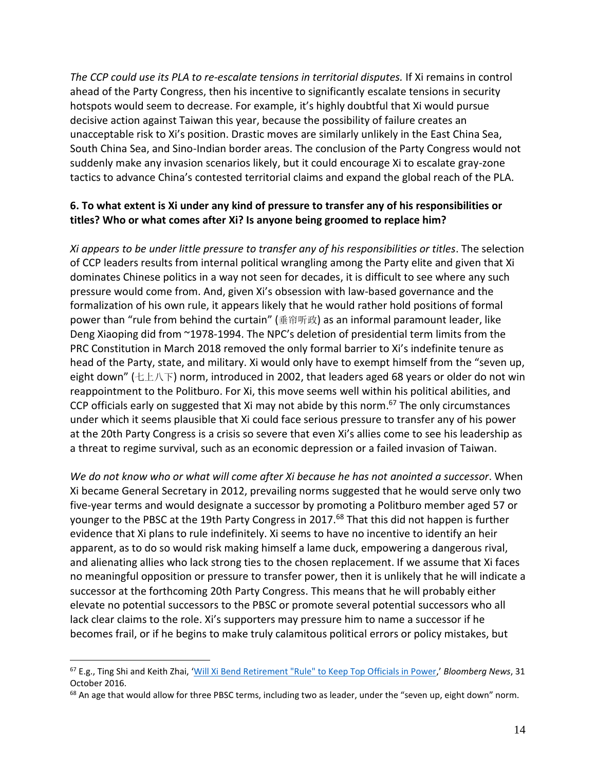*The CCP could use its PLA to re-escalate tensions in territorial disputes.* If Xi remains in control ahead of the Party Congress, then his incentive to significantly escalate tensions in security hotspots would seem to decrease. For example, it's highly doubtful that Xi would pursue decisive action against Taiwan this year, because the possibility of failure creates an unacceptable risk to Xi's position. Drastic moves are similarly unlikely in the East China Sea, South China Sea, and Sino-Indian border areas. The conclusion of the Party Congress would not suddenly make any invasion scenarios likely, but it could encourage Xi to escalate gray-zone tactics to advance China's contested territorial claims and expand the global reach of the PLA.

# <span id="page-14-0"></span>**6. To what extent is Xi under any kind of pressure to transfer any of his responsibilities or titles? Who or what comes after Xi? Is anyone being groomed to replace him?**

*Xi appears to be under little pressure to transfer any of his responsibilities or titles*. The selection of CCP leaders results from internal political wrangling among the Party elite and given that Xi dominates Chinese politics in a way not seen for decades, it is difficult to see where any such pressure would come from. And, given Xi's obsession with law-based governance and the formalization of his own rule, it appears likely that he would rather hold positions of formal power than "rule from behind the curtain" (垂帘听政) as an informal paramount leader, like Deng Xiaoping did from ~1978-1994. The NPC's deletion of presidential term limits from the PRC Constitution in March 2018 removed the only formal barrier to Xi's indefinite tenure as head of the Party, state, and military. Xi would only have to exempt himself from the "seven up, eight down" (七上八下) norm, introduced in 2002, that leaders aged 68 years or older do not win reappointment to the Politburo. For Xi, this move seems well within his political abilities, and CCP officials early on suggested that Xi may not abide by this norm.<sup>67</sup> The only circumstances under which it seems plausible that Xi could face serious pressure to transfer any of his power at the 20th Party Congress is a crisis so severe that even Xi's allies come to see his leadership as a threat to regime survival, such as an economic depression or a failed invasion of Taiwan.

*We do not know who or what will come after Xi because he has not anointed a successor*. When Xi became General Secretary in 2012, prevailing norms suggested that he would serve only two five-year terms and would designate a successor by promoting a Politburo member aged 57 or younger to the PBSC at the 19th Party Congress in 2017.<sup>68</sup> That this did not happen is further evidence that Xi plans to rule indefinitely. Xi seems to have no incentive to identify an heir apparent, as to do so would risk making himself a lame duck, empowering a dangerous rival, and alienating allies who lack strong ties to the chosen replacement. If we assume that Xi faces no meaningful opposition or pressure to transfer power, then it is unlikely that he will indicate a successor at the forthcoming 20th Party Congress. This means that he will probably either elevate no potential successors to the PBSC or promote several potential successors who all lack clear claims to the role. Xi's supporters may pressure him to name a successor if he becomes frail, or if he begins to make truly calamitous political errors or policy mistakes, but

<sup>67</sup> E.g., Ting Shi and Keith Zhai, '[Will Xi Bend Retirement "Rule" to Keep Top Officials in Power](file:///s:/www.bloomberg.com/news/articles/2016-10-31/china-official-says-party-has-no-set-retirement-age-for-leaders),' *Bloomberg News*, 31 October 2016.

<sup>68</sup> An age that would allow for three PBSC terms, including two as leader, under the "seven up, eight down" norm.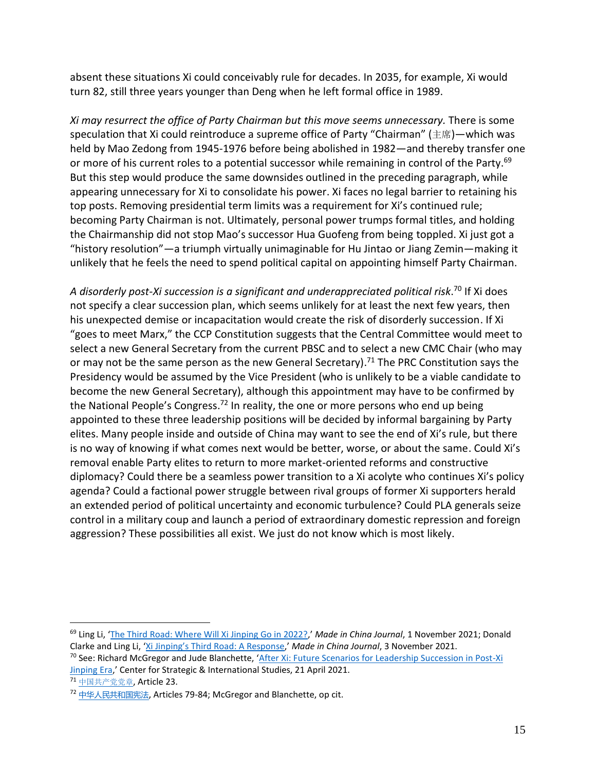absent these situations Xi could conceivably rule for decades. In 2035, for example, Xi would turn 82, still three years younger than Deng when he left formal office in 1989.

*Xi may resurrect the office of Party Chairman but this move seems unnecessary.* There is some speculation that Xi could reintroduce a supreme office of Party "Chairman" (主席)—which was held by Mao Zedong from 1945-1976 before being abolished in 1982—and thereby transfer one or more of his current roles to a potential successor while remaining in control of the Party.<sup>69</sup> But this step would produce the same downsides outlined in the preceding paragraph, while appearing unnecessary for Xi to consolidate his power. Xi faces no legal barrier to retaining his top posts. Removing presidential term limits was a requirement for Xi's continued rule; becoming Party Chairman is not. Ultimately, personal power trumps formal titles, and holding the Chairmanship did not stop Mao's successor Hua Guofeng from being toppled. Xi just got a "history resolution"—a triumph virtually unimaginable for Hu Jintao or Jiang Zemin—making it unlikely that he feels the need to spend political capital on appointing himself Party Chairman.

*A disorderly post-Xi succession is a significant and underappreciated political risk*. <sup>70</sup> If Xi does not specify a clear succession plan, which seems unlikely for at least the next few years, then his unexpected demise or incapacitation would create the risk of disorderly succession. If Xi "goes to meet Marx," the CCP Constitution suggests that the Central Committee would meet to select a new General Secretary from the current PBSC and to select a new CMC Chair (who may or may not be the same person as the new General Secretary).<sup>71</sup> The PRC Constitution says the Presidency would be assumed by the Vice President (who is unlikely to be a viable candidate to become the new General Secretary), although this appointment may have to be confirmed by the National People's Congress.<sup>72</sup> In reality, the one or more persons who end up being appointed to these three leadership positions will be decided by informal bargaining by Party elites. Many people inside and outside of China may want to see the end of Xi's rule, but there is no way of knowing if what comes next would be better, worse, or about the same. Could Xi's removal enable Party elites to return to more market-oriented reforms and constructive diplomacy? Could there be a seamless power transition to a Xi acolyte who continues Xi's policy agenda? Could a factional power struggle between rival groups of former Xi supporters herald an extended period of political uncertainty and economic turbulence? Could PLA generals seize control in a military coup and launch a period of extraordinary domestic repression and foreign aggression? These possibilities all exist. We just do not know which is most likely.

<sup>69</sup> Ling Li, '[The Third Road: Where Will Xi Jinping Go in 2022?](https://madeinchinajournal.com/2021/11/01/the-third-road-where-will-xi-jinping-go-in-2022/),' *Made in China Journal*, 1 November 2021; Donald Clarke and Ling Li, ['Xi Jinping's Third Road: A Response,](https://madeinchinajournal.com/2021/11/03/xi-jinpings-third-road-a-response/)' *Made in China Journal*, 3 November 2021.

<sup>70</sup> See: Richard McGregor and Jude Blanchette, '[After Xi: Future Scenarios for Leadership Succession in Post-Xi](https://www.csis.org/analysis/after-xi-future-scenarios-leadership-succession-post-xi-jinping-era)  [Jinping Era](https://www.csis.org/analysis/after-xi-future-scenarios-leadership-succession-post-xi-jinping-era),' Center for Strategic & International Studies, 21 April 2021.

<sup>71</sup> [中国共产党党章](https://www.12371.cn/special/zggcdzc/zggcdzcqw/), Article 23.

<sup>72</sup> [中华人民共和国宪法](http://www.gov.cn/guoqing/2018-03/22/content_5276318.htm), Articles 79-84; McGregor and Blanchette, op cit.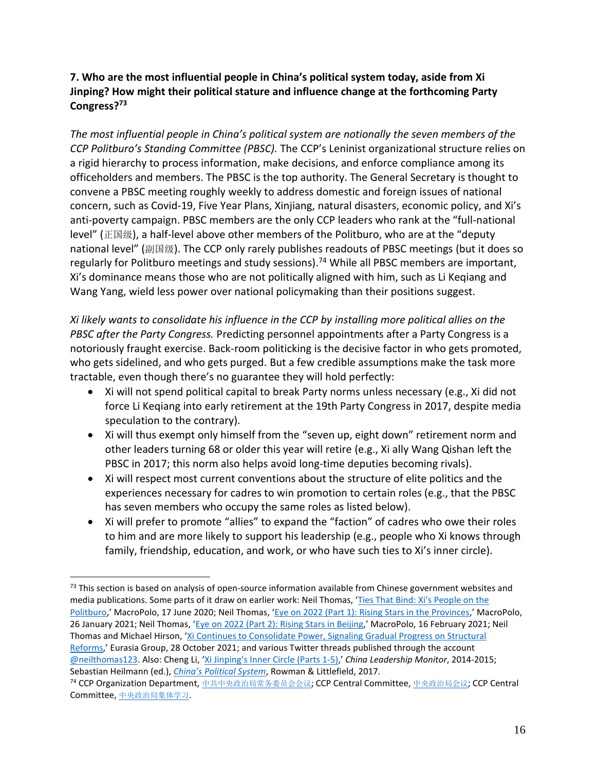# <span id="page-16-0"></span>**7. Who are the most influential people in China's political system today, aside from Xi Jinping? How might their political stature and influence change at the forthcoming Party Congress?<sup>73</sup>**

*The most influential people in China's political system are notionally the seven members of the CCP Politburo's Standing Committee (PBSC).* The CCP's Leninist organizational structure relies on a rigid hierarchy to process information, make decisions, and enforce compliance among its officeholders and members. The PBSC is the top authority. The General Secretary is thought to convene a PBSC meeting roughly weekly to address domestic and foreign issues of national concern, such as Covid-19, Five Year Plans, Xinjiang, natural disasters, economic policy, and Xi's anti-poverty campaign. PBSC members are the only CCP leaders who rank at the "full-national level" (正国级), a half-level above other members of the Politburo, who are at the "deputy national level" (副国级). The CCP only rarely publishes readouts of PBSC meetings (but it does so regularly for Politburo meetings and study sessions).<sup>74</sup> While all PBSC members are important, Xi's dominance means those who are not politically aligned with him, such as Li Keqiang and Wang Yang, wield less power over national policymaking than their positions suggest.

*Xi likely wants to consolidate his influence in the CCP by installing more political allies on the PBSC after the Party Congress.* Predicting personnel appointments after a Party Congress is a notoriously fraught exercise. Back-room politicking is the decisive factor in who gets promoted, who gets sidelined, and who gets purged. But a few credible assumptions make the task more tractable, even though there's no guarantee they will hold perfectly:

- Xi will not spend political capital to break Party norms unless necessary (e.g., Xi did not force Li Keqiang into early retirement at the 19th Party Congress in 2017, despite media speculation to the contrary).
- Xi will thus exempt only himself from the "seven up, eight down" retirement norm and other leaders turning 68 or older this year will retire (e.g., Xi ally Wang Qishan left the PBSC in 2017; this norm also helps avoid long-time deputies becoming rivals).
- Xi will respect most current conventions about the structure of elite politics and the experiences necessary for cadres to win promotion to certain roles (e.g., that the PBSC has seven members who occupy the same roles as listed below).
- Xi will prefer to promote "allies" to expand the "faction" of cadres who owe their roles to him and are more likely to support his leadership (e.g., people who Xi knows through family, friendship, education, and work, or who have such ties to Xi's inner circle).

 $73$  This section is based on analysis of open-source information available from Chinese government websites and media publications. Some parts of it draw on earlier work: Neil Thomas, ['Ties That Bind: Xi's Peop](https://macropolo.org/analysis/the-ties-that-bind-xi-people-politburo/)le on the [Politburo](https://macropolo.org/analysis/the-ties-that-bind-xi-people-politburo/),' MacroPolo, 17 June 2020; Neil Thomas, 'Eve on 2022 (Part 1): Rising Stars in the Provinces,' MacroPolo, 26 January 2021; Neil Thomas, '[Eye on 2022 \(Part 2\): Rising Stars in Beijing](https://macropolo.org/ccp-rising-stars-beijing/),' MacroPolo, 16 February 2021; Neil Thomas and Michael Hirson, '[Xi Continues to Consolidate Power, Signaling Gradual Progress on Structural](https://library.eurasiagroup.net/document/view/wfpub_eurasia_9252_b6642171/wfpub_eurasia_9252_b6642171.html)  [Reforms](https://library.eurasiagroup.net/document/view/wfpub_eurasia_9252_b6642171/wfpub_eurasia_9252_b6642171.html),' Eurasia Group, 28 October 2021; and various Twitter threads published through the account [@neilthomas123.](https://twitter.com/neilthomas123) Also: Cheng Li, ['Xi Jinping's Inner Circle \(Parts 1](https://www.hoover.org/profiles/cheng-li)-5),' *China Leadership Monitor*, 2014-2015; Sebastian Heilmann (ed.), *China's [Political System](https://rowman.com/ISBN/9781442277359/Chinas-Political-System)*, Rowman & Littlefield, 2017.

<sup>74</sup> CCP Organization Department, [中共中央政治局常务委员会会议](http://www.12371.cn/special/zzjcwwyhhy/index.shtml); CCP Central Committee, [中央政治局会议](http://cpc.people.com.cn/n1/2017/1025/c414940-29608619.html); CCP Central Committee, [中央政治局集体学习](http://cpc.people.com.cn/n1/2017/1025/c414940-29608670.html).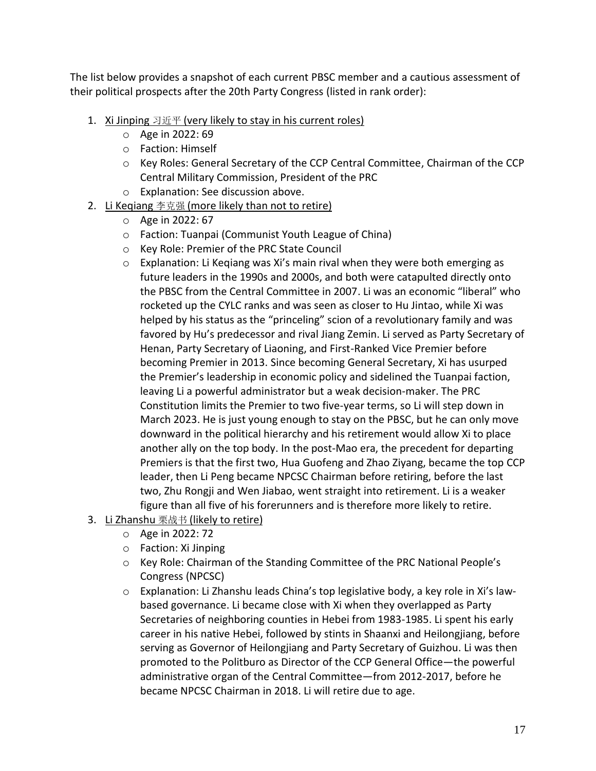The list below provides a snapshot of each current PBSC member and a cautious assessment of their political prospects after the 20th Party Congress (listed in rank order):

- 1. Xi Jinping  $\Im \overline{\text{H}}$  (very likely to stay in his current roles)
	- o Age in 2022: 69
	- o Faction: Himself
	- o Key Roles: General Secretary of the CCP Central Committee, Chairman of the CCP Central Military Commission, President of the PRC
	- o Explanation: See discussion above.
- 2. Li Keqiang 李克强 (more likely than not to retire)
	- o Age in 2022: 67
	- o Faction: Tuanpai (Communist Youth League of China)
	- o Key Role: Premier of the PRC State Council
	- $\circ$  Explanation: Li Kegiang was Xi's main rival when they were both emerging as future leaders in the 1990s and 2000s, and both were catapulted directly onto the PBSC from the Central Committee in 2007. Li was an economic "liberal" who rocketed up the CYLC ranks and was seen as closer to Hu Jintao, while Xi was helped by his status as the "princeling" scion of a revolutionary family and was favored by Hu's predecessor and rival Jiang Zemin. Li served as Party Secretary of Henan, Party Secretary of Liaoning, and First-Ranked Vice Premier before becoming Premier in 2013. Since becoming General Secretary, Xi has usurped the Premier's leadership in economic policy and sidelined the Tuanpai faction, leaving Li a powerful administrator but a weak decision-maker. The PRC Constitution limits the Premier to two five-year terms, so Li will step down in March 2023. He is just young enough to stay on the PBSC, but he can only move downward in the political hierarchy and his retirement would allow Xi to place another ally on the top body. In the post-Mao era, the precedent for departing Premiers is that the first two, Hua Guofeng and Zhao Ziyang, became the top CCP leader, then Li Peng became NPCSC Chairman before retiring, before the last two, Zhu Rongji and Wen Jiabao, went straight into retirement. Li is a weaker figure than all five of his forerunners and is therefore more likely to retire.
- 3. Li Zhanshu 栗战书 (likely to retire)
	- o Age in 2022: 72
	- o Faction: Xi Jinping
	- o Key Role: Chairman of the Standing Committee of the PRC National People's Congress (NPCSC)
	- $\circ$  Explanation: Li Zhanshu leads China's top legislative body, a key role in Xi's lawbased governance. Li became close with Xi when they overlapped as Party Secretaries of neighboring counties in Hebei from 1983-1985. Li spent his early career in his native Hebei, followed by stints in Shaanxi and Heilongjiang, before serving as Governor of Heilongjiang and Party Secretary of Guizhou. Li was then promoted to the Politburo as Director of the CCP General Office—the powerful administrative organ of the Central Committee—from 2012-2017, before he became NPCSC Chairman in 2018. Li will retire due to age.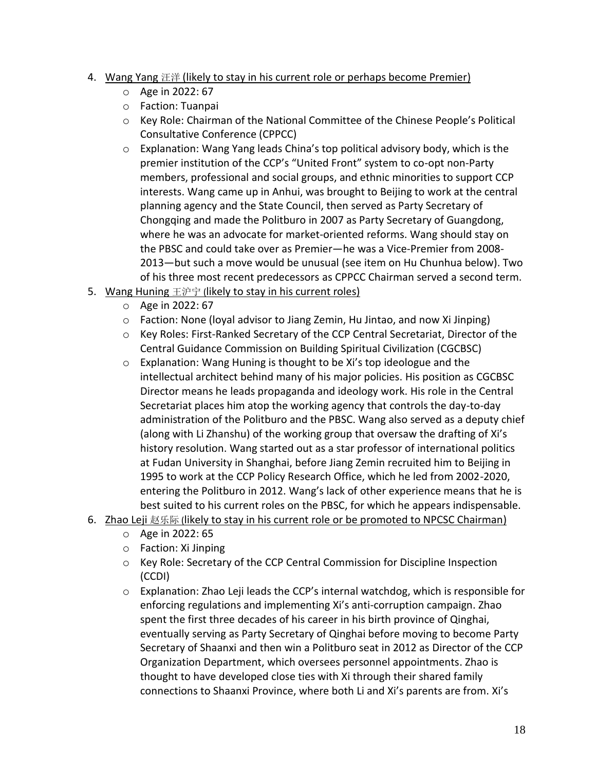## 4. Wang Yang 汪洋 (likely to stay in his current role or perhaps become Premier)

- o Age in 2022: 67
- o Faction: Tuanpai
- o Key Role: Chairman of the National Committee of the Chinese People's Political Consultative Conference (CPPCC)
- o Explanation: Wang Yang leads China's top political advisory body, which is the premier institution of the CCP's "United Front" system to co-opt non-Party members, professional and social groups, and ethnic minorities to support CCP interests. Wang came up in Anhui, was brought to Beijing to work at the central planning agency and the State Council, then served as Party Secretary of Chongqing and made the Politburo in 2007 as Party Secretary of Guangdong, where he was an advocate for market-oriented reforms. Wang should stay on the PBSC and could take over as Premier—he was a Vice-Premier from 2008- 2013—but such a move would be unusual (see item on Hu Chunhua below). Two of his three most recent predecessors as CPPCC Chairman served a second term.
- 5. Wang Huning 王沪宁 (likely to stay in his current roles)
	- o Age in 2022: 67
	- $\circ$  Faction: None (loyal advisor to Jiang Zemin, Hu Jintao, and now Xi Jinping)
	- o Key Roles: First-Ranked Secretary of the CCP Central Secretariat, Director of the Central Guidance Commission on Building Spiritual Civilization (CGCBSC)
	- o Explanation: Wang Huning is thought to be Xi's top ideologue and the intellectual architect behind many of his major policies. His position as CGCBSC Director means he leads propaganda and ideology work. His role in the Central Secretariat places him atop the working agency that controls the day-to-day administration of the Politburo and the PBSC. Wang also served as a deputy chief (along with Li Zhanshu) of the working group that oversaw the drafting of Xi's history resolution. Wang started out as a star professor of international politics at Fudan University in Shanghai, before Jiang Zemin recruited him to Beijing in 1995 to work at the CCP Policy Research Office, which he led from 2002-2020, entering the Politburo in 2012. Wang's lack of other experience means that he is best suited to his current roles on the PBSC, for which he appears indispensable.
- 6. Zhao Leji 赵乐际 (likely to stay in his current role or be promoted to NPCSC Chairman)
	- o Age in 2022: 65
	- o Faction: Xi Jinping
	- o Key Role: Secretary of the CCP Central Commission for Discipline Inspection (CCDI)
	- $\circ$  Explanation: Zhao Leji leads the CCP's internal watchdog, which is responsible for enforcing regulations and implementing Xi's anti-corruption campaign. Zhao spent the first three decades of his career in his birth province of Qinghai, eventually serving as Party Secretary of Qinghai before moving to become Party Secretary of Shaanxi and then win a Politburo seat in 2012 as Director of the CCP Organization Department, which oversees personnel appointments. Zhao is thought to have developed close ties with Xi through their shared family connections to Shaanxi Province, where both Li and Xi's parents are from. Xi's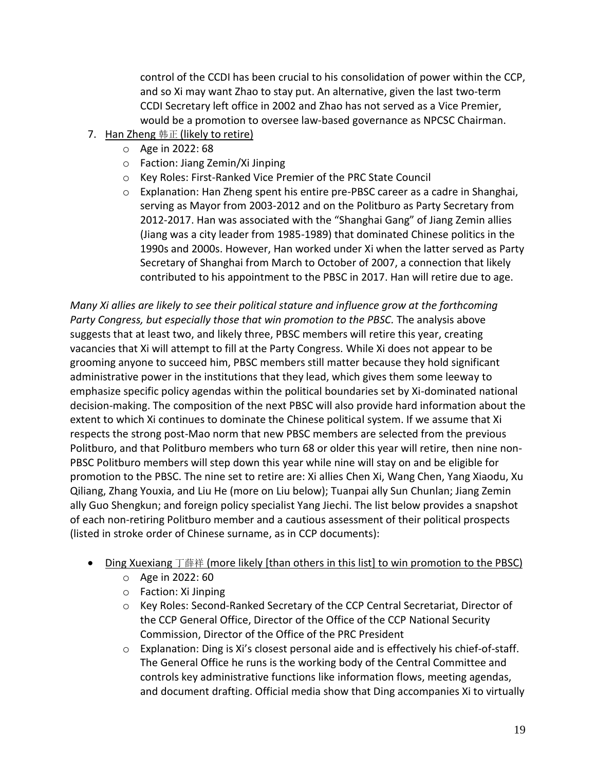control of the CCDI has been crucial to his consolidation of power within the CCP, and so Xi may want Zhao to stay put. An alternative, given the last two-term CCDI Secretary left office in 2002 and Zhao has not served as a Vice Premier, would be a promotion to oversee law-based governance as NPCSC Chairman.

- 7. Han Zheng 韩正 (likely to retire)
	- o Age in 2022: 68
	- o Faction: Jiang Zemin/Xi Jinping
	- o Key Roles: First-Ranked Vice Premier of the PRC State Council
	- $\circ$  Explanation: Han Zheng spent his entire pre-PBSC career as a cadre in Shanghai, serving as Mayor from 2003-2012 and on the Politburo as Party Secretary from 2012-2017. Han was associated with the "Shanghai Gang" of Jiang Zemin allies (Jiang was a city leader from 1985-1989) that dominated Chinese politics in the 1990s and 2000s. However, Han worked under Xi when the latter served as Party Secretary of Shanghai from March to October of 2007, a connection that likely contributed to his appointment to the PBSC in 2017. Han will retire due to age.

*Many Xi allies are likely to see their political stature and influence grow at the forthcoming Party Congress, but especially those that win promotion to the PBSC.* The analysis above suggests that at least two, and likely three, PBSC members will retire this year, creating vacancies that Xi will attempt to fill at the Party Congress. While Xi does not appear to be grooming anyone to succeed him, PBSC members still matter because they hold significant administrative power in the institutions that they lead, which gives them some leeway to emphasize specific policy agendas within the political boundaries set by Xi-dominated national decision-making. The composition of the next PBSC will also provide hard information about the extent to which Xi continues to dominate the Chinese political system. If we assume that Xi respects the strong post-Mao norm that new PBSC members are selected from the previous Politburo, and that Politburo members who turn 68 or older this year will retire, then nine non-PBSC Politburo members will step down this year while nine will stay on and be eligible for promotion to the PBSC. The nine set to retire are: Xi allies Chen Xi, Wang Chen, Yang Xiaodu, Xu Qiliang, Zhang Youxia, and Liu He (more on Liu below); Tuanpai ally Sun Chunlan; Jiang Zemin ally Guo Shengkun; and foreign policy specialist Yang Jiechi. The list below provides a snapshot of each non-retiring Politburo member and a cautious assessment of their political prospects (listed in stroke order of Chinese surname, as in CCP documents):

- Ding Xuexiang 丁薛祥 (more likely [than others in this list] to win promotion to the PBSC)
	- o Age in 2022: 60
	- o Faction: Xi Jinping
	- o Key Roles: Second-Ranked Secretary of the CCP Central Secretariat, Director of the CCP General Office, Director of the Office of the CCP National Security Commission, Director of the Office of the PRC President
	- $\circ$  Explanation: Ding is Xi's closest personal aide and is effectively his chief-of-staff. The General Office he runs is the working body of the Central Committee and controls key administrative functions like information flows, meeting agendas, and document drafting. Official media show that Ding accompanies Xi to virtually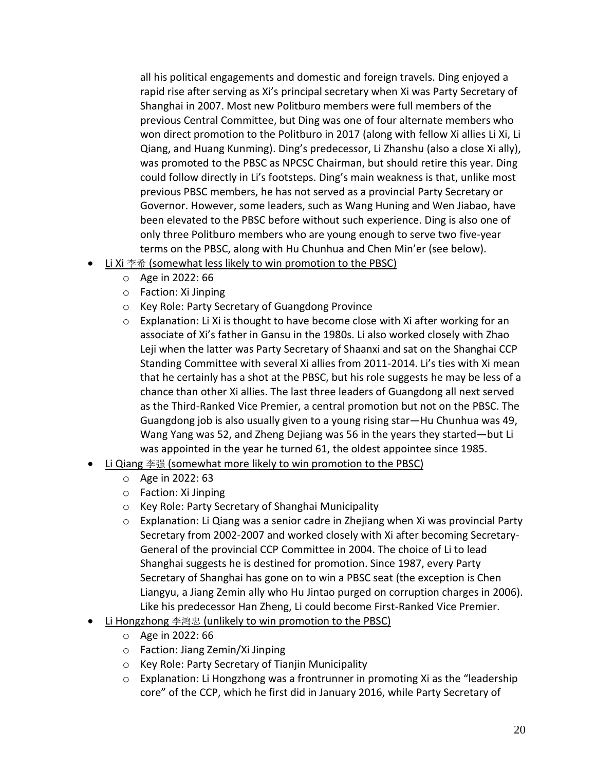all his political engagements and domestic and foreign travels. Ding enjoyed a rapid rise after serving as Xi's principal secretary when Xi was Party Secretary of Shanghai in 2007. Most new Politburo members were full members of the previous Central Committee, but Ding was one of four alternate members who won direct promotion to the Politburo in 2017 (along with fellow Xi allies Li Xi, Li Qiang, and Huang Kunming). Ding's predecessor, Li Zhanshu (also a close Xi ally), was promoted to the PBSC as NPCSC Chairman, but should retire this year. Ding could follow directly in Li's footsteps. Ding's main weakness is that, unlike most previous PBSC members, he has not served as a provincial Party Secretary or Governor. However, some leaders, such as Wang Huning and Wen Jiabao, have been elevated to the PBSC before without such experience. Ding is also one of only three Politburo members who are young enough to serve two five-year terms on the PBSC, along with Hu Chunhua and Chen Min'er (see below).

- Li Xi 李希 (somewhat less likely to win promotion to the PBSC)
	- o Age in 2022: 66
	- o Faction: Xi Jinping
	- o Key Role: Party Secretary of Guangdong Province
	- o Explanation: Li Xi is thought to have become close with Xi after working for an associate of Xi's father in Gansu in the 1980s. Li also worked closely with Zhao Leji when the latter was Party Secretary of Shaanxi and sat on the Shanghai CCP Standing Committee with several Xi allies from 2011-2014. Li's ties with Xi mean that he certainly has a shot at the PBSC, but his role suggests he may be less of a chance than other Xi allies. The last three leaders of Guangdong all next served as the Third-Ranked Vice Premier, a central promotion but not on the PBSC. The Guangdong job is also usually given to a young rising star—Hu Chunhua was 49, Wang Yang was 52, and Zheng Dejiang was 56 in the years they started—but Li was appointed in the year he turned 61, the oldest appointee since 1985.
- Li Qiang 李强 (somewhat more likely to win promotion to the PBSC)
	- o Age in 2022: 63
	- o Faction: Xi Jinping
	- o Key Role: Party Secretary of Shanghai Municipality
	- $\circ$  Explanation: Li Qiang was a senior cadre in Zheijang when Xi was provincial Party Secretary from 2002-2007 and worked closely with Xi after becoming Secretary-General of the provincial CCP Committee in 2004. The choice of Li to lead Shanghai suggests he is destined for promotion. Since 1987, every Party Secretary of Shanghai has gone on to win a PBSC seat (the exception is Chen Liangyu, a Jiang Zemin ally who Hu Jintao purged on corruption charges in 2006). Like his predecessor Han Zheng, Li could become First-Ranked Vice Premier.
- Li Hongzhong 李鸿忠 (unlikely to win promotion to the PBSC)
	- o Age in 2022: 66
	- o Faction: Jiang Zemin/Xi Jinping
	- o Key Role: Party Secretary of Tianjin Municipality
	- $\circ$  Explanation: Li Hongzhong was a frontrunner in promoting Xi as the "leadership" core" of the CCP, which he first did in January 2016, while Party Secretary of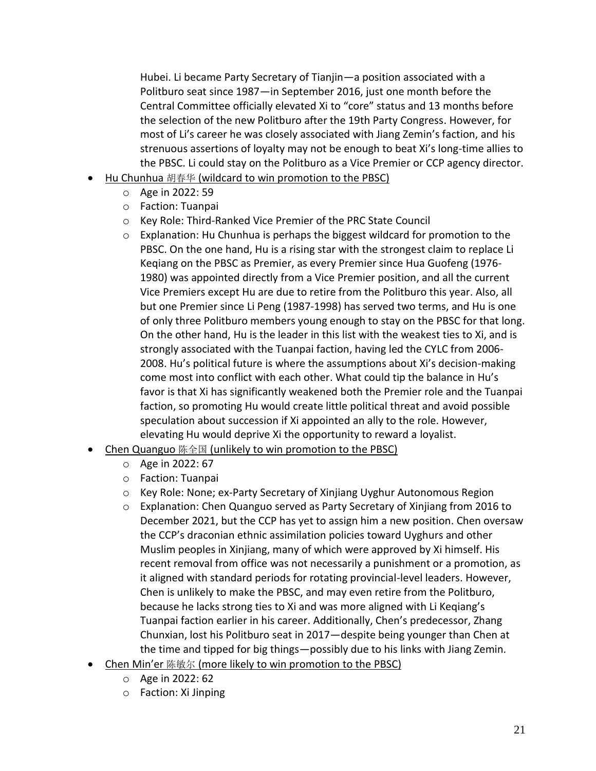Hubei. Li became Party Secretary of Tianjin—a position associated with a Politburo seat since 1987—in September 2016, just one month before the Central Committee officially elevated Xi to "core" status and 13 months before the selection of the new Politburo after the 19th Party Congress. However, for most of Li's career he was closely associated with Jiang Zemin's faction, and his strenuous assertions of loyalty may not be enough to beat Xi's long-time allies to the PBSC. Li could stay on the Politburo as a Vice Premier or CCP agency director.

- Hu Chunhua 胡春华 (wildcard to win promotion to the PBSC)
	- o Age in 2022: 59
	- o Faction: Tuanpai
	- o Key Role: Third-Ranked Vice Premier of the PRC State Council
	- o Explanation: Hu Chunhua is perhaps the biggest wildcard for promotion to the PBSC. On the one hand, Hu is a rising star with the strongest claim to replace Li Keqiang on the PBSC as Premier, as every Premier since Hua Guofeng (1976- 1980) was appointed directly from a Vice Premier position, and all the current Vice Premiers except Hu are due to retire from the Politburo this year. Also, all but one Premier since Li Peng (1987-1998) has served two terms, and Hu is one of only three Politburo members young enough to stay on the PBSC for that long. On the other hand, Hu is the leader in this list with the weakest ties to Xi, and is strongly associated with the Tuanpai faction, having led the CYLC from 2006- 2008. Hu's political future is where the assumptions about Xi's decision-making come most into conflict with each other. What could tip the balance in Hu's favor is that Xi has significantly weakened both the Premier role and the Tuanpai faction, so promoting Hu would create little political threat and avoid possible speculation about succession if Xi appointed an ally to the role. However, elevating Hu would deprive Xi the opportunity to reward a loyalist.
- Chen Quanguo 陈全国 (unlikely to win promotion to the PBSC)
	- o Age in 2022: 67
	- o Faction: Tuanpai
	- o Key Role: None; ex-Party Secretary of Xinjiang Uyghur Autonomous Region
	- $\circ$  Explanation: Chen Quanguo served as Party Secretary of Xinjiang from 2016 to December 2021, but the CCP has yet to assign him a new position. Chen oversaw the CCP's draconian ethnic assimilation policies toward Uyghurs and other Muslim peoples in Xinjiang, many of which were approved by Xi himself. His recent removal from office was not necessarily a punishment or a promotion, as it aligned with standard periods for rotating provincial-level leaders. However, Chen is unlikely to make the PBSC, and may even retire from the Politburo, because he lacks strong ties to Xi and was more aligned with Li Keqiang's Tuanpai faction earlier in his career. Additionally, Chen's predecessor, Zhang Chunxian, lost his Politburo seat in 2017—despite being younger than Chen at the time and tipped for big things—possibly due to his links with Jiang Zemin*.*
- Chen Min'er 陈敏尔 (more likely to win promotion to the PBSC)
	- o Age in 2022: 62
	- o Faction: Xi Jinping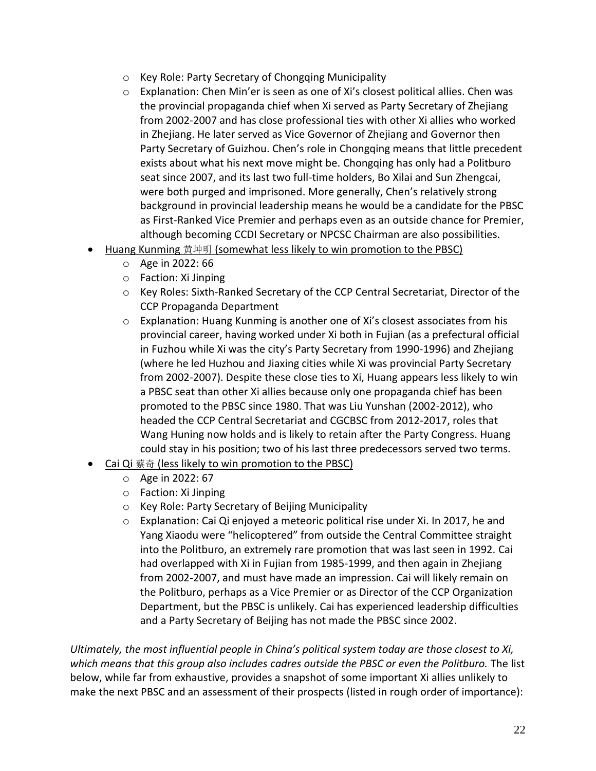- o Key Role: Party Secretary of Chongqing Municipality
- $\circ$  Explanation: Chen Min'er is seen as one of Xi's closest political allies. Chen was the provincial propaganda chief when Xi served as Party Secretary of Zhejiang from 2002-2007 and has close professional ties with other Xi allies who worked in Zhejiang. He later served as Vice Governor of Zhejiang and Governor then Party Secretary of Guizhou. Chen's role in Chongqing means that little precedent exists about what his next move might be. Chongqing has only had a Politburo seat since 2007, and its last two full-time holders, Bo Xilai and Sun Zhengcai, were both purged and imprisoned. More generally, Chen's relatively strong background in provincial leadership means he would be a candidate for the PBSC as First-Ranked Vice Premier and perhaps even as an outside chance for Premier, although becoming CCDI Secretary or NPCSC Chairman are also possibilities.
- Huang Kunming 黄坤明 (somewhat less likely to win promotion to the PBSC)
	- o Age in 2022: 66
	- o Faction: Xi Jinping
	- o Key Roles: Sixth-Ranked Secretary of the CCP Central Secretariat, Director of the CCP Propaganda Department
	- o Explanation: Huang Kunming is another one of Xi's closest associates from his provincial career, having worked under Xi both in Fujian (as a prefectural official in Fuzhou while Xi was the city's Party Secretary from 1990-1996) and Zhejiang (where he led Huzhou and Jiaxing cities while Xi was provincial Party Secretary from 2002-2007). Despite these close ties to Xi, Huang appears less likely to win a PBSC seat than other Xi allies because only one propaganda chief has been promoted to the PBSC since 1980. That was Liu Yunshan (2002-2012), who headed the CCP Central Secretariat and CGCBSC from 2012-2017, roles that Wang Huning now holds and is likely to retain after the Party Congress. Huang could stay in his position; two of his last three predecessors served two terms.
- Cai Qi 蔡奇 (less likely to win promotion to the PBSC)
	- o Age in 2022: 67
	- o Faction: Xi Jinping
	- o Key Role: Party Secretary of Beijing Municipality
	- o Explanation: Cai Qi enjoyed a meteoric political rise under Xi. In 2017, he and Yang Xiaodu were "helicoptered" from outside the Central Committee straight into the Politburo, an extremely rare promotion that was last seen in 1992. Cai had overlapped with Xi in Fujian from 1985-1999, and then again in Zhejiang from 2002-2007, and must have made an impression. Cai will likely remain on the Politburo, perhaps as a Vice Premier or as Director of the CCP Organization Department, but the PBSC is unlikely. Cai has experienced leadership difficulties and a Party Secretary of Beijing has not made the PBSC since 2002.

*Ultimately, the most influential people in China's political system today are those closest to Xi, which means that this group also includes cadres outside the PBSC or even the Politburo.* The list below, while far from exhaustive, provides a snapshot of some important Xi allies unlikely to make the next PBSC and an assessment of their prospects (listed in rough order of importance):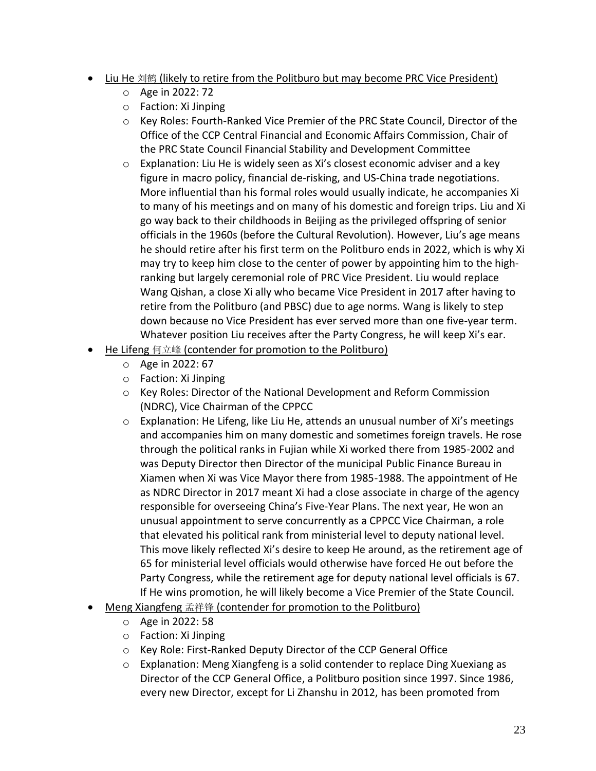- Liu He 刘鹤 (likely to retire from the Politburo but may become PRC Vice President)
	- o Age in 2022: 72
	- o Faction: Xi Jinping
	- o Key Roles: Fourth-Ranked Vice Premier of the PRC State Council, Director of the Office of the CCP Central Financial and Economic Affairs Commission, Chair of the PRC State Council Financial Stability and Development Committee
	- $\circ$  Explanation: Liu He is widely seen as Xi's closest economic adviser and a key figure in macro policy, financial de-risking, and US-China trade negotiations. More influential than his formal roles would usually indicate, he accompanies Xi to many of his meetings and on many of his domestic and foreign trips. Liu and Xi go way back to their childhoods in Beijing as the privileged offspring of senior officials in the 1960s (before the Cultural Revolution). However, Liu's age means he should retire after his first term on the Politburo ends in 2022, which is why Xi may try to keep him close to the center of power by appointing him to the highranking but largely ceremonial role of PRC Vice President. Liu would replace Wang Qishan, a close Xi ally who became Vice President in 2017 after having to retire from the Politburo (and PBSC) due to age norms. Wang is likely to step down because no Vice President has ever served more than one five-year term. Whatever position Liu receives after the Party Congress, he will keep Xi's ear.
- He Lifeng 何立峰 (contender for promotion to the Politburo)
	- o Age in 2022: 67
	- o Faction: Xi Jinping
	- o Key Roles: Director of the National Development and Reform Commission (NDRC), Vice Chairman of the CPPCC
	- $\circ$  Explanation: He Lifeng, like Liu He, attends an unusual number of Xi's meetings and accompanies him on many domestic and sometimes foreign travels. He rose through the political ranks in Fujian while Xi worked there from 1985-2002 and was Deputy Director then Director of the municipal Public Finance Bureau in Xiamen when Xi was Vice Mayor there from 1985-1988. The appointment of He as NDRC Director in 2017 meant Xi had a close associate in charge of the agency responsible for overseeing China's Five-Year Plans. The next year, He won an unusual appointment to serve concurrently as a CPPCC Vice Chairman, a role that elevated his political rank from ministerial level to deputy national level. This move likely reflected Xi's desire to keep He around, as the retirement age of 65 for ministerial level officials would otherwise have forced He out before the Party Congress, while the retirement age for deputy national level officials is 67. If He wins promotion, he will likely become a Vice Premier of the State Council.
- Meng Xiangfeng 孟祥锋 (contender for promotion to the Politburo)
	- o Age in 2022: 58
	- o Faction: Xi Jinping
	- o Key Role: First-Ranked Deputy Director of the CCP General Office
	- $\circ$  Explanation: Meng Xiangfeng is a solid contender to replace Ding Xuexiang as Director of the CCP General Office, a Politburo position since 1997. Since 1986, every new Director, except for Li Zhanshu in 2012, has been promoted from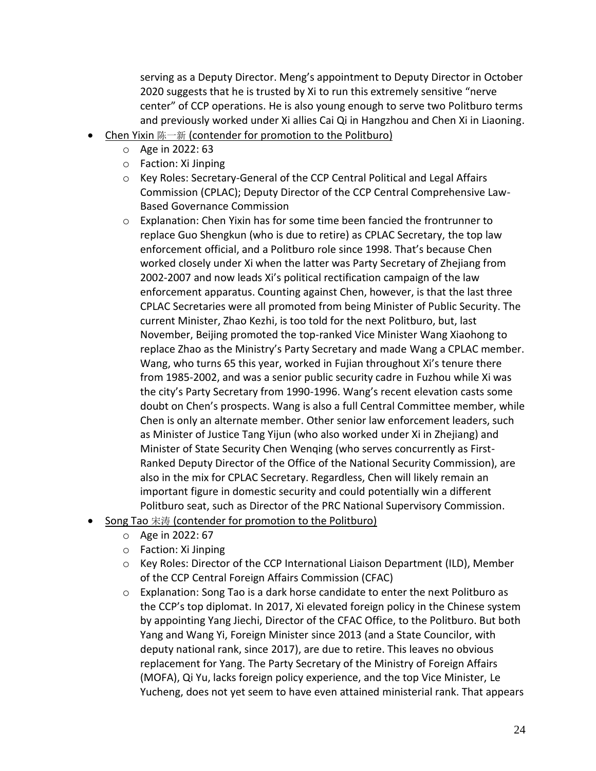serving as a Deputy Director. Meng's appointment to Deputy Director in October 2020 suggests that he is trusted by Xi to run this extremely sensitive "nerve center" of CCP operations. He is also young enough to serve two Politburo terms and previously worked under Xi allies Cai Qi in Hangzhou and Chen Xi in Liaoning.

- Chen Yixin 陈一新 (contender for promotion to the Politburo)
	- o Age in 2022: 63
	- o Faction: Xi Jinping
	- o Key Roles: Secretary-General of the CCP Central Political and Legal Affairs Commission (CPLAC); Deputy Director of the CCP Central Comprehensive Law-Based Governance Commission
	- $\circ$  Explanation: Chen Yixin has for some time been fancied the frontrunner to replace Guo Shengkun (who is due to retire) as CPLAC Secretary, the top law enforcement official, and a Politburo role since 1998. That's because Chen worked closely under Xi when the latter was Party Secretary of Zhejiang from 2002-2007 and now leads Xi's political rectification campaign of the law enforcement apparatus. Counting against Chen, however, is that the last three CPLAC Secretaries were all promoted from being Minister of Public Security. The current Minister, Zhao Kezhi, is too told for the next Politburo, but, last November, Beijing promoted the top-ranked Vice Minister Wang Xiaohong to replace Zhao as the Ministry's Party Secretary and made Wang a CPLAC member. Wang, who turns 65 this year, worked in Fujian throughout Xi's tenure there from 1985-2002, and was a senior public security cadre in Fuzhou while Xi was the city's Party Secretary from 1990-1996. Wang's recent elevation casts some doubt on Chen's prospects. Wang is also a full Central Committee member, while Chen is only an alternate member. Other senior law enforcement leaders, such as Minister of Justice Tang Yijun (who also worked under Xi in Zhejiang) and Minister of State Security Chen Wenqing (who serves concurrently as First-Ranked Deputy Director of the Office of the National Security Commission), are also in the mix for CPLAC Secretary. Regardless, Chen will likely remain an important figure in domestic security and could potentially win a different Politburo seat, such as Director of the PRC National Supervisory Commission.
- Song Tao 宋涛 (contender for promotion to the Politburo)
	- o Age in 2022: 67
	- o Faction: Xi Jinping
	- o Key Roles: Director of the CCP International Liaison Department (ILD), Member of the CCP Central Foreign Affairs Commission (CFAC)
	- $\circ$  Explanation: Song Tao is a dark horse candidate to enter the next Politburo as the CCP's top diplomat. In 2017, Xi elevated foreign policy in the Chinese system by appointing Yang Jiechi, Director of the CFAC Office, to the Politburo. But both Yang and Wang Yi, Foreign Minister since 2013 (and a State Councilor, with deputy national rank, since 2017), are due to retire. This leaves no obvious replacement for Yang. The Party Secretary of the Ministry of Foreign Affairs (MOFA), Qi Yu, lacks foreign policy experience, and the top Vice Minister, Le Yucheng, does not yet seem to have even attained ministerial rank. That appears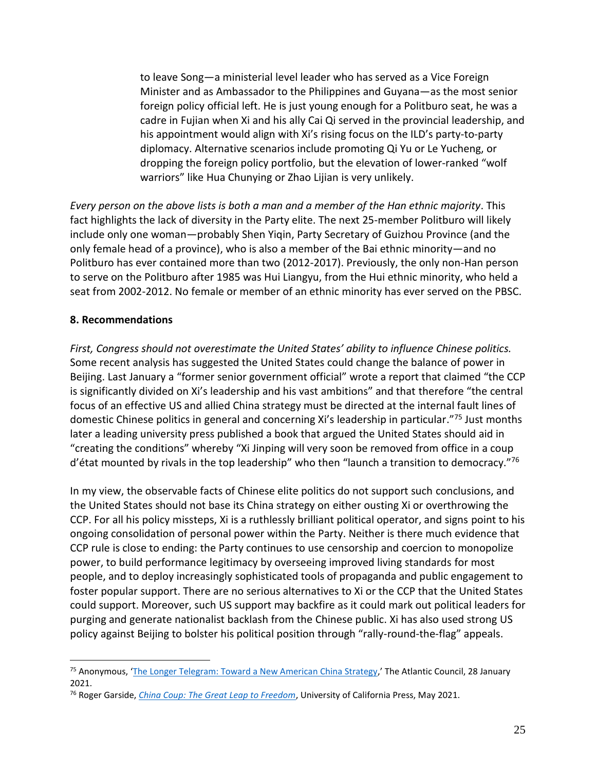to leave Song—a ministerial level leader who has served as a Vice Foreign Minister and as Ambassador to the Philippines and Guyana—as the most senior foreign policy official left. He is just young enough for a Politburo seat, he was a cadre in Fujian when Xi and his ally Cai Qi served in the provincial leadership, and his appointment would align with Xi's rising focus on the ILD's party-to-party diplomacy. Alternative scenarios include promoting Qi Yu or Le Yucheng, or dropping the foreign policy portfolio, but the elevation of lower-ranked "wolf warriors" like Hua Chunying or Zhao Lijian is very unlikely.

*Every person on the above lists is both a man and a member of the Han ethnic majority*. This fact highlights the lack of diversity in the Party elite. The next 25-member Politburo will likely include only one woman—probably Shen Yiqin, Party Secretary of Guizhou Province (and the only female head of a province), who is also a member of the Bai ethnic minority—and no Politburo has ever contained more than two (2012-2017). Previously, the only non-Han person to serve on the Politburo after 1985 was Hui Liangyu, from the Hui ethnic minority, who held a seat from 2002-2012. No female or member of an ethnic minority has ever served on the PBSC.

### <span id="page-25-0"></span>**8. Recommendations**

 $\overline{a}$ 

*First, Congress should not overestimate the United States' ability to influence Chinese politics.* Some recent analysis has suggested the United States could change the balance of power in Beijing. Last January a "former senior government official" wrote a report that claimed "the CCP is significantly divided on Xi's leadership and his vast ambitions" and that therefore "the central focus of an effective US and allied China strategy must be directed at the internal fault lines of domestic Chinese politics in general and concerning Xi's leadership in particular."<sup>75</sup> Just months later a leading university press published a book that argued the United States should aid in "creating the conditions" whereby "Xi Jinping will very soon be removed from office in a coup d'état mounted by rivals in the top leadership" who then "launch a transition to democracy."76

In my view, the observable facts of Chinese elite politics do not support such conclusions, and the United States should not base its China strategy on either ousting Xi or overthrowing the CCP. For all his policy missteps, Xi is a ruthlessly brilliant political operator, and signs point to his ongoing consolidation of personal power within the Party. Neither is there much evidence that CCP rule is close to ending: the Party continues to use censorship and coercion to monopolize power, to build performance legitimacy by overseeing improved living standards for most people, and to deploy increasingly sophisticated tools of propaganda and public engagement to foster popular support. There are no serious alternatives to Xi or the CCP that the United States could support. Moreover, such US support may backfire as it could mark out political leaders for purging and generate nationalist backlash from the Chinese public. Xi has also used strong US policy against Beijing to bolster his political position through "rally-round-the-flag" appeals.

<sup>75</sup> Anonymous, '[The Longer Telegram: Toward a New American China Strategy,](https://www.atlanticcouncil.org/content-series/atlantic-council-strategy-paper-series/the-longer-telegram/)' The Atlantic Council, 28 January 2021.

<sup>76</sup> Roger Garside, *[China Coup: The Great Leap to Freedom](https://www.ucpress.edu/book/9780520380974/china-coup)*, University of California Press, May 2021.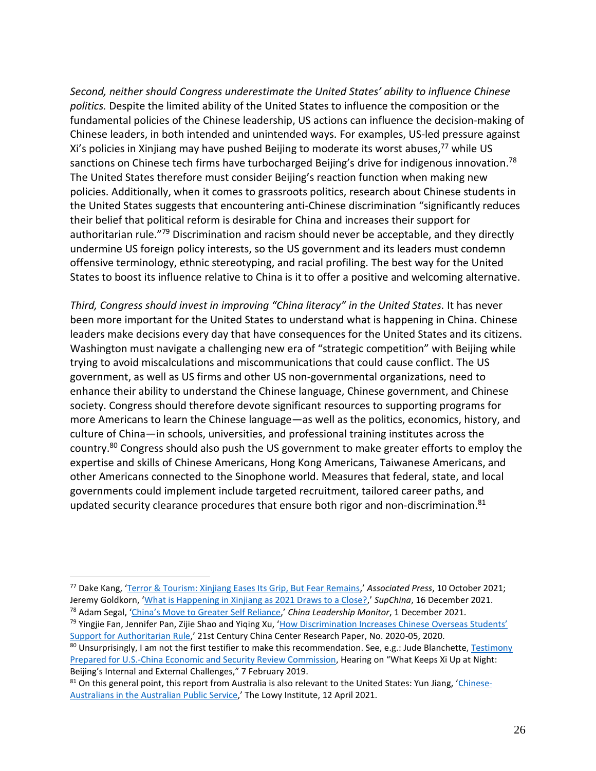*Second, neither should Congress underestimate the United States' ability to influence Chinese politics.* Despite the limited ability of the United States to influence the composition or the fundamental policies of the Chinese leadership, US actions can influence the decision-making of Chinese leaders, in both intended and unintended ways. For examples, US-led pressure against Xi's policies in Xinjiang may have pushed Beijing to moderate its worst abuses, <sup>77</sup> while US sanctions on Chinese tech firms have turbocharged Beijing's drive for indigenous innovation.<sup>78</sup> The United States therefore must consider Beijing's reaction function when making new policies. Additionally, when it comes to grassroots politics, research about Chinese students in the United States suggests that encountering anti-Chinese discrimination "significantly reduces their belief that political reform is desirable for China and increases their support for authoritarian rule."<sup>79</sup> Discrimination and racism should never be acceptable, and they directly undermine US foreign policy interests, so the US government and its leaders must condemn offensive terminology, ethnic stereotyping, and racial profiling. The best way for the United States to boost its influence relative to China is it to offer a positive and welcoming alternative.

*Third, Congress should invest in improving "China literacy" in the United States.* It has never been more important for the United States to understand what is happening in China. Chinese leaders make decisions every day that have consequences for the United States and its citizens. Washington must navigate a challenging new era of "strategic competition" with Beijing while trying to avoid miscalculations and miscommunications that could cause conflict. The US government, as well as US firms and other US non-governmental organizations, need to enhance their ability to understand the Chinese language, Chinese government, and Chinese society. Congress should therefore devote significant resources to supporting programs for more Americans to learn the Chinese language—as well as the politics, economics, history, and culture of China—in schools, universities, and professional training institutes across the country.<sup>80</sup> Congress should also push the US government to make greater efforts to employ the expertise and skills of Chinese Americans, Hong Kong Americans, Taiwanese Americans, and other Americans connected to the Sinophone world. Measures that federal, state, and local governments could implement include targeted recruitment, tailored career paths, and updated security clearance procedures that ensure both rigor and non-discrimination. $81$ 

<sup>77</sup> Dake Kang, '[Terror & Tourism: Xinjiang Eases Its Grip, But Fear Remains](https://apnews.com/article/coronavirus-pandemic-lifestyle-china-health-travel-7a6967f335f97ca868cc618ea84b98b9),' *Associated Press*, 10 October 2021; Jeremy Goldkorn, '[What is Happening in Xinjiang as 2021 Draws to a Close?](https://supchina.com/2021/12/16/what-is-happening-in-xinjiang-as-2021-draws-to-a-close/),' *SupChina*, 16 December 2021. <sup>78</sup> Adam Segal, 'China['s Move to Greater Self Reliance,](https://www.prcleader.org/segal)' *China Leadership Monitor*, 1 December 2021.

<sup>79</sup> Yingjie Fan, Jennifer Pan, Zijie Shao and Yiqing Xu, '[How Discrimination Increases Chinese Overseas](https://papers.ssrn.com/sol3/papers.cfm?abstract_id=3637710) Students' [Support for Authoritarian Rule](https://papers.ssrn.com/sol3/papers.cfm?abstract_id=3637710),' 21st Century China Center Research Paper, No. 2020-05, 2020.

<sup>80</sup> Unsurprisingly, I am not the first testifier to make this recommendation. See, e.g.: Jude Blanchette, Testimony [Prepared for U.S.-China Economic and Security Review Commission](https://www.uscc.gov/sites/default/files/Blanchette_USCC%20Testimony_FINAL.pdf), Hearing on "What Keeps Xi Up at Night: Beijing's Internal and External Challenges," 7 February 2019.

 $81$  On this general point, this report from Australia is also relevant to the United States: Yun Jiang, '[Chinese-](https://www.lowyinstitute.org/publications/chinese-australians-australian-public-service)[Australians in the Australian Public Service](https://www.lowyinstitute.org/publications/chinese-australians-australian-public-service),' The Lowy Institute, 12 April 2021.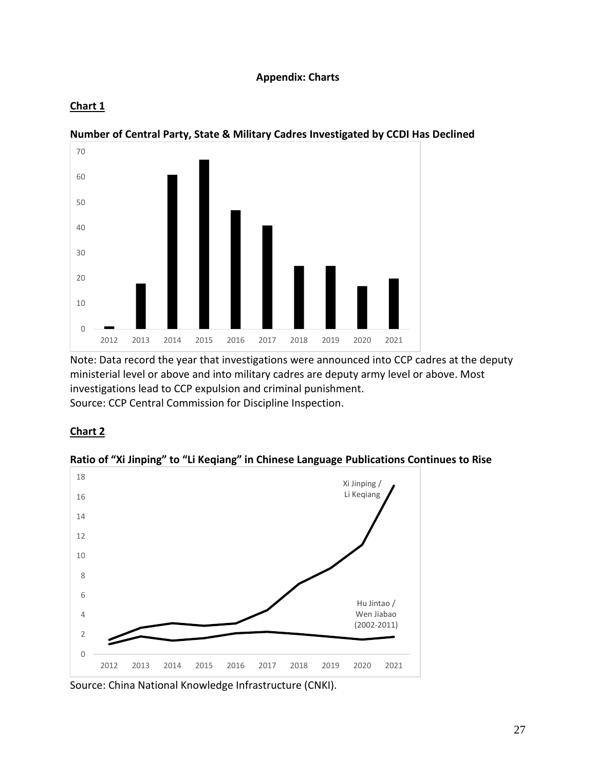### **Appendix: Charts**

## <span id="page-27-0"></span>**Chart 1**



# **Number of Central Party, State & Military Cadres Investigated by CCDI Has Declined**

Note: Data record the year that investigations were announced into CCP cadres at the deputy ministerial level or above and into military cadres are deputy army level or above. Most investigations lead to CCP expulsion and criminal punishment. Source: CCP Central Commission for Discipline Inspection.

## **Chart 2**

### **Ratio of "Xi Jinping" to "Li Keqiang" in Chinese Language Publications Continues to Rise**



Source: China National Knowledge Infrastructure (CNKI).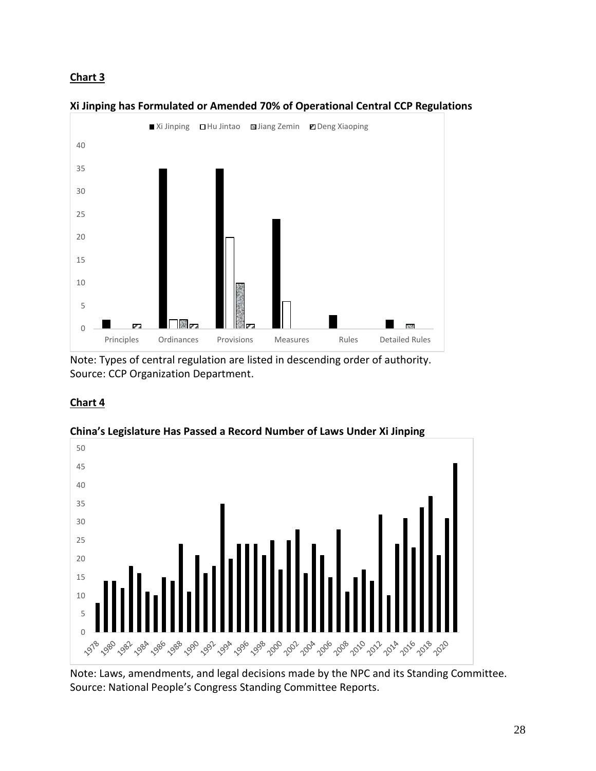

#### **Xi Jinping has Formulated or Amended 70% of Operational Central CCP Regulations**

Note: Types of central regulation are listed in descending order of authority. Source: CCP Organization Department.

## **Chart 4**



**China's Legislature Has Passed a Record Number of Laws Under Xi Jinping**

Note: Laws, amendments, and legal decisions made by the NPC and its Standing Committee. Source: National People's Congress Standing Committee Reports.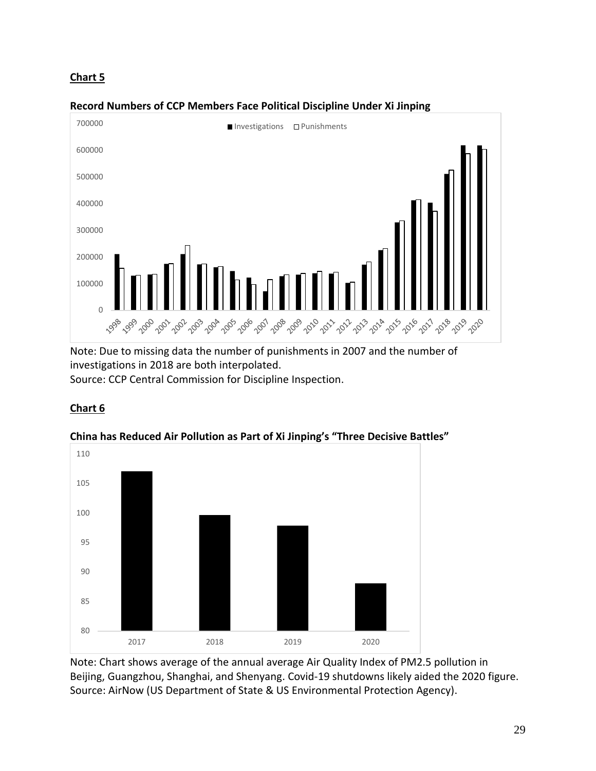

### **Record Numbers of CCP Members Face Political Discipline Under Xi Jinping**

Note: Due to missing data the number of punishments in 2007 and the number of investigations in 2018 are both interpolated. Source: CCP Central Commission for Discipline Inspection.

### **Chart 6**



**China has Reduced Air Pollution as Part of Xi Jinping's "Three Decisive Battles"**

Note: Chart shows average of the annual average Air Quality Index of PM2.5 pollution in Beijing, Guangzhou, Shanghai, and Shenyang. Covid-19 shutdowns likely aided the 2020 figure. Source: AirNow (US Department of State & US Environmental Protection Agency).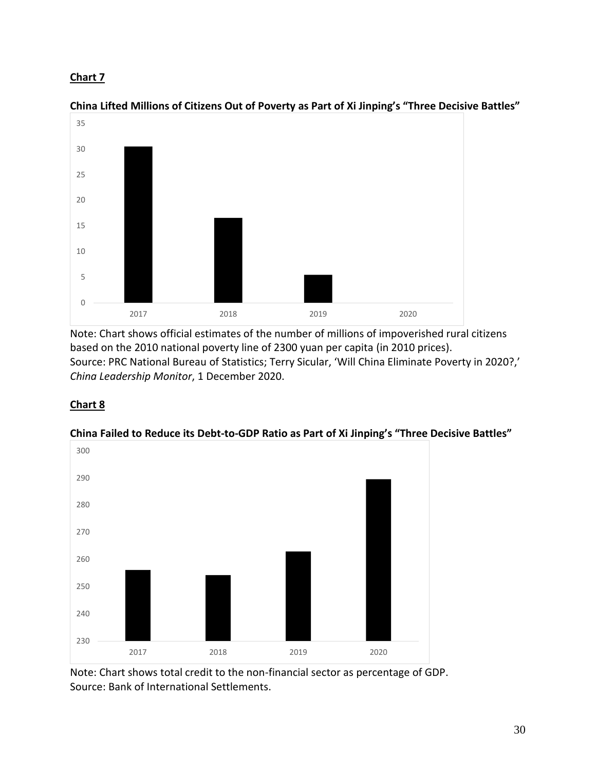

**China Lifted Millions of Citizens Out of Poverty as Part of Xi Jinping's "Three Decisive Battles"**

Note: Chart shows official estimates of the number of millions of impoverished rural citizens based on the 2010 national poverty line of 2300 yuan per capita (in 2010 prices). Source: PRC National Bureau of Statistics; Terry Sicular, 'Will China Eliminate Poverty in 2020?,' *China Leadership Monitor*, 1 December 2020.

# **Chart 8**



## **China Failed to Reduce its Debt-to-GDP Ratio as Part of Xi Jinping's "Three Decisive Battles"**

Note: Chart shows total credit to the non-financial sector as percentage of GDP. Source: Bank of International Settlements.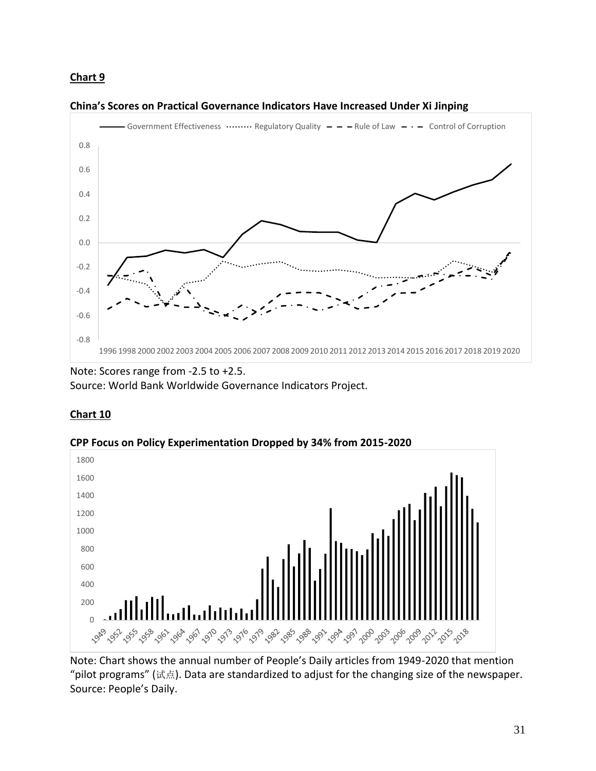

#### **China's Scores on Practical Governance Indicators Have Increased Under Xi Jinping**

Note: Scores range from -2.5 to +2.5. Source: World Bank Worldwide Governance Indicators Project.

## **Chart 10**





Note: Chart shows the annual number of People's Daily articles from 1949-2020 that mention "pilot programs" (试点). Data are standardized to adjust for the changing size of the newspaper. Source: People's Daily.